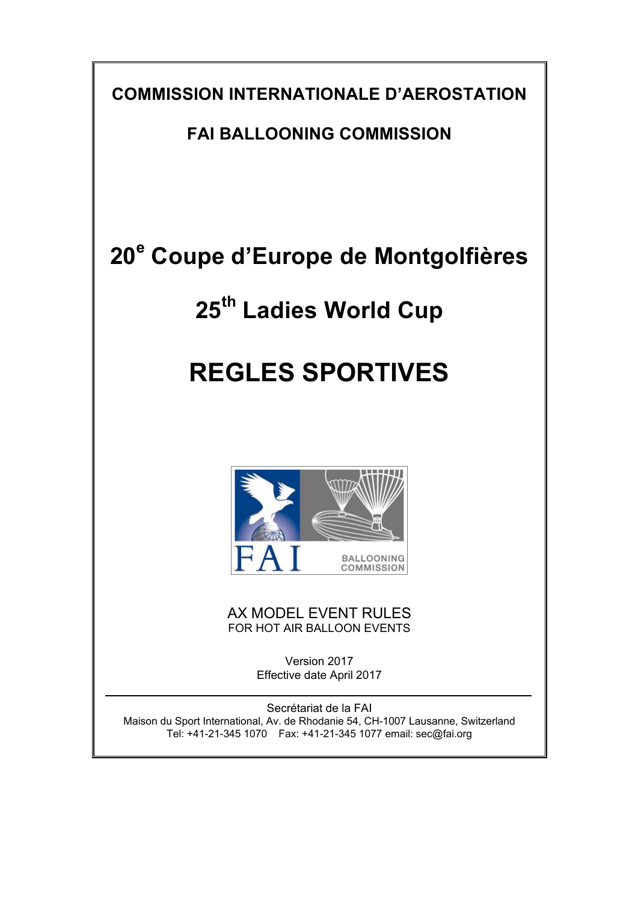**COMMISSION INTERNATIONALE D'AEROSTATION**

**FAI BALLOONING COMMISSION**

# **20<sup>e</sup> Coupe d'Europe de Montgolfières**

# **25th Ladies World Cup**

# **REGLES SPORTIVES**



AX MODEL EVENT RULES FOR HOT AIR BALLOON EVENTS

> Version 2017 Effective date April 2017

Secrétariat de la FAI Maison du Sport International, Av. de Rhodanie 54, CH-1007 Lausanne, Switzerland Tel: +41-21-345 1070 Fax: +41-21-345 1077 email: sec@fai.org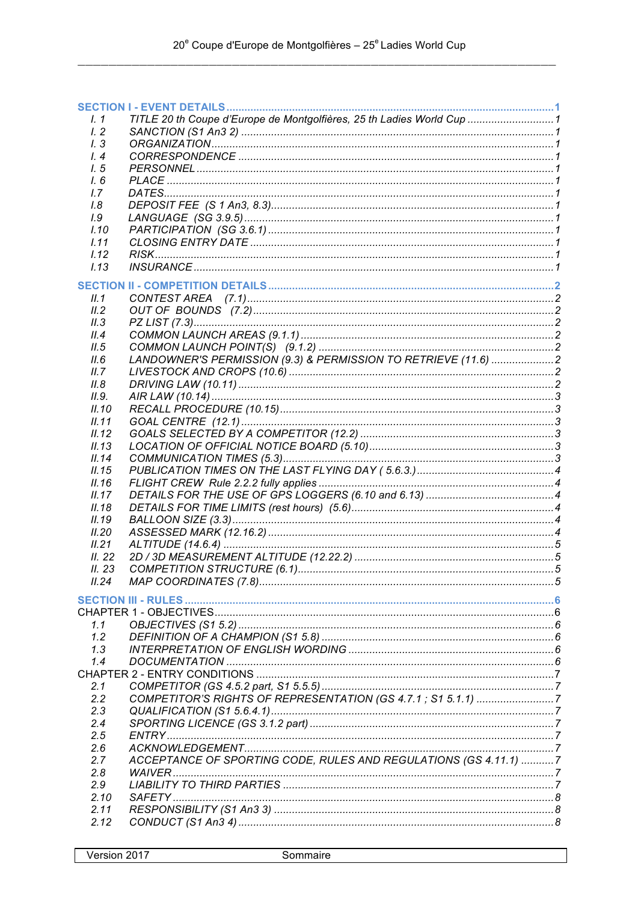| 1.1            | TITLE 20 th Coupe d'Europe de Montgolfières, 25 th Ladies World Cup  1 |  |
|----------------|------------------------------------------------------------------------|--|
| 1.2            |                                                                        |  |
| 1.3            |                                                                        |  |
| $\frac{1}{4}$  |                                                                        |  |
| 1, 5           |                                                                        |  |
| 1.6            |                                                                        |  |
| 1.7            |                                                                        |  |
| 1.8            |                                                                        |  |
| 1.9            |                                                                        |  |
| I.10           |                                                                        |  |
| 1.11           |                                                                        |  |
| 1.12           |                                                                        |  |
| 1.13           |                                                                        |  |
|                |                                                                        |  |
| II.1           |                                                                        |  |
| II.2           |                                                                        |  |
| II.3           |                                                                        |  |
| II.4           |                                                                        |  |
| II.5           |                                                                        |  |
| II.6           | LANDOWNER'S PERMISSION (9.3) & PERMISSION TO RETRIEVE (11.6) 2         |  |
|                |                                                                        |  |
| II.7           |                                                                        |  |
| II.8           |                                                                        |  |
| II.9.          |                                                                        |  |
| II.10          |                                                                        |  |
| II.11          |                                                                        |  |
| II.12          |                                                                        |  |
| II.13          |                                                                        |  |
| II.14<br>II.15 |                                                                        |  |
| II.16          |                                                                        |  |
| II.17          |                                                                        |  |
| II.18          |                                                                        |  |
| II.19          |                                                                        |  |
|                |                                                                        |  |
| II.20          |                                                                        |  |
| II.21          |                                                                        |  |
| II.22          |                                                                        |  |
| II.23          |                                                                        |  |
| II.24          |                                                                        |  |
|                |                                                                        |  |
|                |                                                                        |  |
| 1.1            |                                                                        |  |
| 1.2            |                                                                        |  |
| 1.3            |                                                                        |  |
| 1.4            |                                                                        |  |
|                |                                                                        |  |
| 2.1            |                                                                        |  |
| 2.2            | COMPETITOR'S RIGHTS OF REPRESENTATION (GS 4.7.1; S1 5.1.1) 7           |  |
| 2.3            |                                                                        |  |
| 2.4            |                                                                        |  |
| 2.5            |                                                                        |  |
| 2.6            |                                                                        |  |
| 2.7            | ACCEPTANCE OF SPORTING CODE, RULES AND REGULATIONS (GS 4.11.1) 7       |  |
| 2.8            |                                                                        |  |
| 2.9            |                                                                        |  |
| 2.10           |                                                                        |  |
| 2.11           |                                                                        |  |
| 2.12           |                                                                        |  |
|                |                                                                        |  |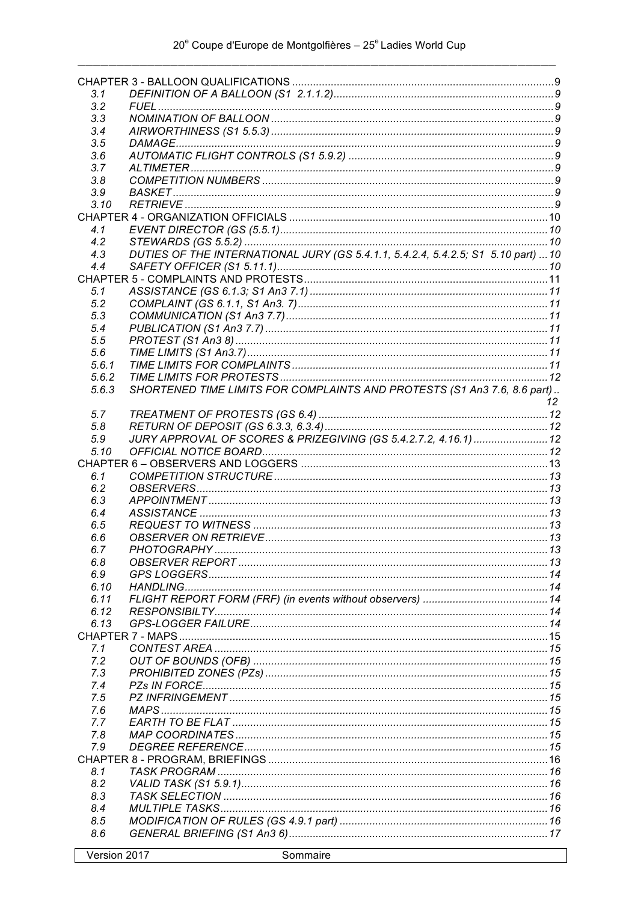| 3.1                      |                                                                                   |    |
|--------------------------|-----------------------------------------------------------------------------------|----|
| 3.2                      |                                                                                   |    |
| 3.3                      |                                                                                   |    |
| 3.4                      |                                                                                   |    |
| 3.5                      |                                                                                   |    |
| 3.6<br>3.7               |                                                                                   |    |
| 3.8                      |                                                                                   |    |
| 3.9                      |                                                                                   |    |
| 3.10                     |                                                                                   |    |
|                          |                                                                                   |    |
| 4.1                      |                                                                                   |    |
| 4.2                      |                                                                                   |    |
| 4.3                      | DUTIES OF THE INTERNATIONAL JURY (GS 5.4.1.1, 5.4.2.4, 5.4.2.5; S1 5.10 part)  10 |    |
| 4.4                      |                                                                                   |    |
|                          |                                                                                   |    |
| 5.1                      |                                                                                   |    |
| 5.2                      |                                                                                   |    |
| 5.3                      |                                                                                   |    |
| 5.4<br>5.5               |                                                                                   |    |
| 5.6                      |                                                                                   |    |
| 5.6.1                    |                                                                                   |    |
| 5.6.2                    |                                                                                   |    |
| 5.6.3                    | SHORTENED TIME LIMITS FOR COMPLAINTS AND PROTESTS (S1 An3 7.6, 8.6 part)          |    |
|                          |                                                                                   | 12 |
| 5.7                      |                                                                                   |    |
| 5.8                      |                                                                                   |    |
| 5.9                      | JURY APPROVAL OF SCORES & PRIZEGIVING (GS 5.4.2.7.2, 4.16.1)  12                  |    |
| 5.10                     |                                                                                   |    |
|                          |                                                                                   |    |
| 6.1                      |                                                                                   |    |
| 6.2                      |                                                                                   |    |
| 6.3                      |                                                                                   |    |
| 6.4                      |                                                                                   |    |
| 6.5<br>6.6               |                                                                                   |    |
| 6.7                      | PHOTOGRAPHY                                                                       | 13 |
| 6.8                      |                                                                                   |    |
| 6.9                      |                                                                                   |    |
| 6.10                     |                                                                                   |    |
| 6.11                     |                                                                                   |    |
| 6.12                     |                                                                                   |    |
| 6.13                     |                                                                                   |    |
|                          |                                                                                   |    |
| 7.1                      |                                                                                   |    |
| 7.2                      |                                                                                   |    |
| 7.3                      |                                                                                   |    |
| 7.4                      |                                                                                   |    |
| 7.5                      |                                                                                   |    |
| 7.6<br>7.7               |                                                                                   |    |
| 7.8                      |                                                                                   |    |
| 7.9                      |                                                                                   |    |
|                          |                                                                                   |    |
| 8.1                      |                                                                                   |    |
| 8.2                      |                                                                                   |    |
| 8.3                      |                                                                                   |    |
| 8.4                      |                                                                                   |    |
| 8.5                      |                                                                                   |    |
| 8.6                      |                                                                                   |    |
| V <sub>ersion</sub> 2017 | <b>Sommaire</b>                                                                   |    |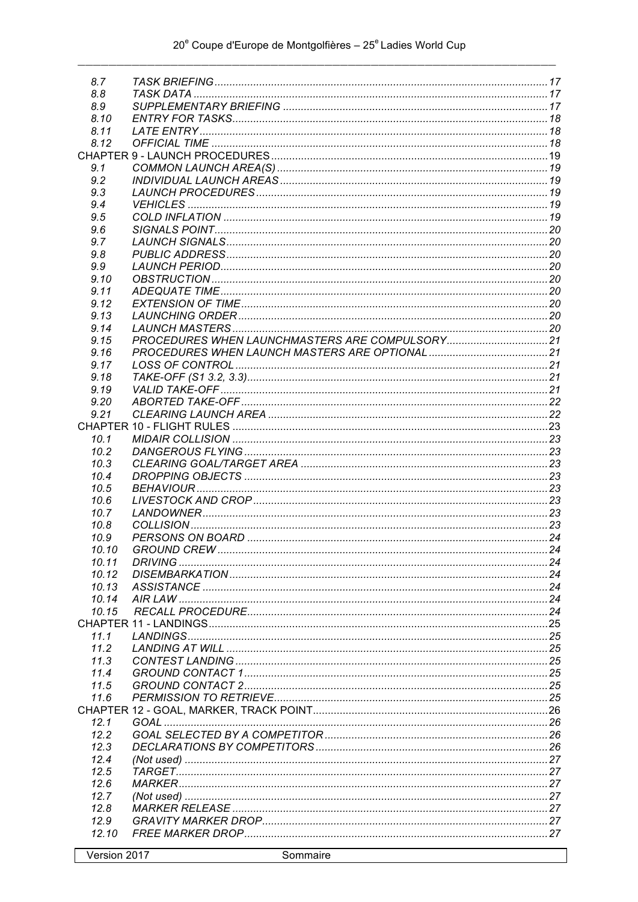| 8.7<br>8.8    |                          |  |
|---------------|--------------------------|--|
| 8.9           |                          |  |
| 8.10          |                          |  |
| 8.11          |                          |  |
| 8.12          |                          |  |
|               |                          |  |
|               |                          |  |
| 9.1           |                          |  |
| 9.2           |                          |  |
| 9.3           |                          |  |
| 9.4           |                          |  |
| 9.5           |                          |  |
| 9.6<br>9.7    |                          |  |
| 9.8           |                          |  |
| 9.9           |                          |  |
| 9.10          |                          |  |
| 9.11          |                          |  |
| 9.12          |                          |  |
| 9.13          |                          |  |
| 9.14          |                          |  |
| 9.15          |                          |  |
| 9.16          |                          |  |
| 9.17          |                          |  |
|               |                          |  |
| 9.18<br>9.19  |                          |  |
| 9.20          |                          |  |
| 9.21          |                          |  |
|               |                          |  |
| 10.1          |                          |  |
| 10.2          |                          |  |
| 10.3          |                          |  |
| 10.4          |                          |  |
| 10.5          |                          |  |
| 10.6          |                          |  |
| 10.7          |                          |  |
| 10.8          |                          |  |
|               |                          |  |
|               |                          |  |
| 10.9          |                          |  |
| 10 10         | $\sim$ 24<br>GROUND CREW |  |
| 10.11         |                          |  |
| 10.12         |                          |  |
| 10.13         |                          |  |
| 10.14         |                          |  |
| 10.15         |                          |  |
|               |                          |  |
| 11.1          |                          |  |
| 11.2          |                          |  |
| 11.3          |                          |  |
| 11.4          |                          |  |
| 11.5          |                          |  |
| 11.6          |                          |  |
|               |                          |  |
| 12.1          |                          |  |
| 12.2          |                          |  |
| 12.3          |                          |  |
| 12.4          |                          |  |
| 12.5<br>12.6  |                          |  |
|               |                          |  |
| 12.7          |                          |  |
| 12.8          |                          |  |
| 12.9<br>12.10 |                          |  |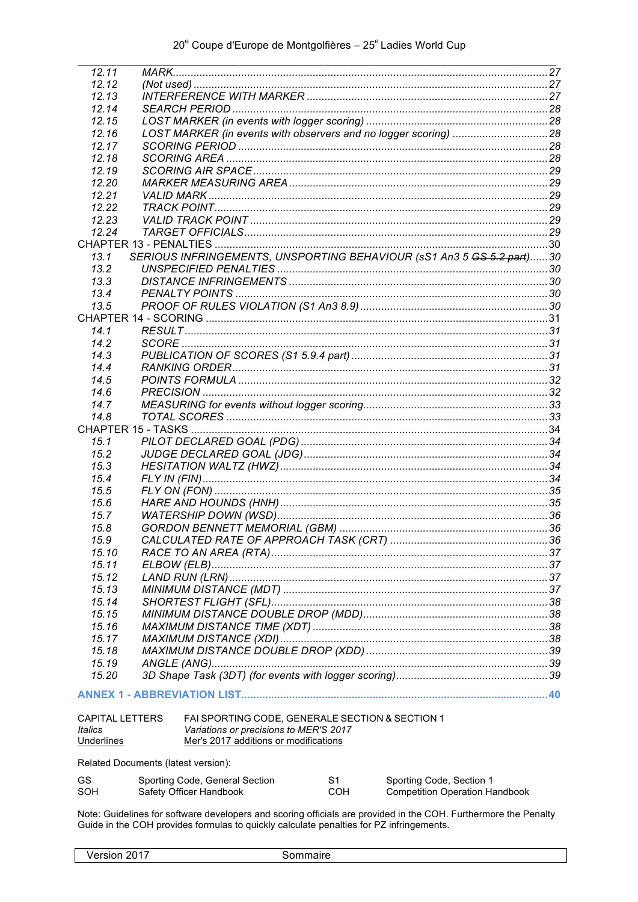| 12.11                               |                                                 |                |                                                                       |
|-------------------------------------|-------------------------------------------------|----------------|-----------------------------------------------------------------------|
| 12.12                               |                                                 |                |                                                                       |
| 12.13                               |                                                 |                |                                                                       |
| 12.14                               |                                                 |                |                                                                       |
| 12.15                               |                                                 |                |                                                                       |
| 12.16                               |                                                 |                |                                                                       |
| 12.17                               |                                                 |                |                                                                       |
|                                     |                                                 |                |                                                                       |
| 12.18                               |                                                 |                |                                                                       |
| 12.19                               |                                                 |                |                                                                       |
| 12.20                               |                                                 |                |                                                                       |
| 12.21                               |                                                 |                |                                                                       |
| 12.22                               |                                                 |                |                                                                       |
| 12.23                               |                                                 |                |                                                                       |
| 12.24                               |                                                 |                |                                                                       |
|                                     |                                                 |                |                                                                       |
| 13.1                                |                                                 |                | SERIOUS INFRINGEMENTS, UNSPORTING BEHAVIOUR (sS1 An3 5 GS 5.2 part)30 |
| 13.2                                |                                                 |                |                                                                       |
| 13.3                                |                                                 |                |                                                                       |
| 13.4                                |                                                 |                |                                                                       |
|                                     |                                                 |                |                                                                       |
| 13.5                                |                                                 |                |                                                                       |
|                                     |                                                 |                |                                                                       |
| 14.1                                |                                                 |                |                                                                       |
| 14.2                                |                                                 |                |                                                                       |
| 14.3                                |                                                 |                |                                                                       |
| 14.4                                |                                                 |                |                                                                       |
| 14.5                                |                                                 |                |                                                                       |
| 14.6                                |                                                 |                |                                                                       |
| 14.7                                |                                                 |                |                                                                       |
| 14.8                                |                                                 |                |                                                                       |
|                                     |                                                 |                |                                                                       |
| 15.1                                |                                                 |                |                                                                       |
|                                     |                                                 |                |                                                                       |
| 15.2                                |                                                 |                |                                                                       |
| 15.3                                |                                                 |                |                                                                       |
| 15.4                                |                                                 |                |                                                                       |
| 15.5                                |                                                 |                |                                                                       |
| 15.6                                |                                                 |                |                                                                       |
| 15.7                                |                                                 |                |                                                                       |
| 15.8                                |                                                 |                |                                                                       |
| 15.9                                |                                                 |                |                                                                       |
| 15.10                               |                                                 |                |                                                                       |
| 15.11                               |                                                 |                |                                                                       |
| 15.12                               |                                                 |                |                                                                       |
| 15.13                               |                                                 |                |                                                                       |
| 15.14                               |                                                 |                |                                                                       |
| 15.15                               |                                                 |                |                                                                       |
|                                     |                                                 |                |                                                                       |
| 15.16                               |                                                 |                |                                                                       |
| 15.17                               |                                                 |                |                                                                       |
| 15.18                               |                                                 |                |                                                                       |
| 15.19                               |                                                 |                |                                                                       |
| 15.20                               |                                                 |                |                                                                       |
|                                     |                                                 |                |                                                                       |
|                                     |                                                 |                |                                                                       |
| <b>CAPITAL LETTERS</b>              | FAI SPORTING CODE, GENERALE SECTION & SECTION 1 |                |                                                                       |
| Italics                             | Variations or precisions to MER'S 2017          |                |                                                                       |
| <b>Underlines</b>                   | Mer's 2017 additions or modifications           |                |                                                                       |
|                                     |                                                 |                |                                                                       |
| Related Documents (latest version): |                                                 |                |                                                                       |
| GS                                  | Sporting Code, General Section                  | S <sub>1</sub> | Sporting Code, Section 1                                              |
| SOH                                 | Safety Officer Handbook                         | <b>COH</b>     | <b>Competition Operation Handbook</b>                                 |

Sporting Code, General Section<br>Safety Officer Handbook  $\frac{31}{20}$ SOH

Note: Guidelines for software developers and scoring officials are provided in the COH. Furthermore the Penalty Guide in the COH provides formulas to quickly calculate penalties for PZ infringements.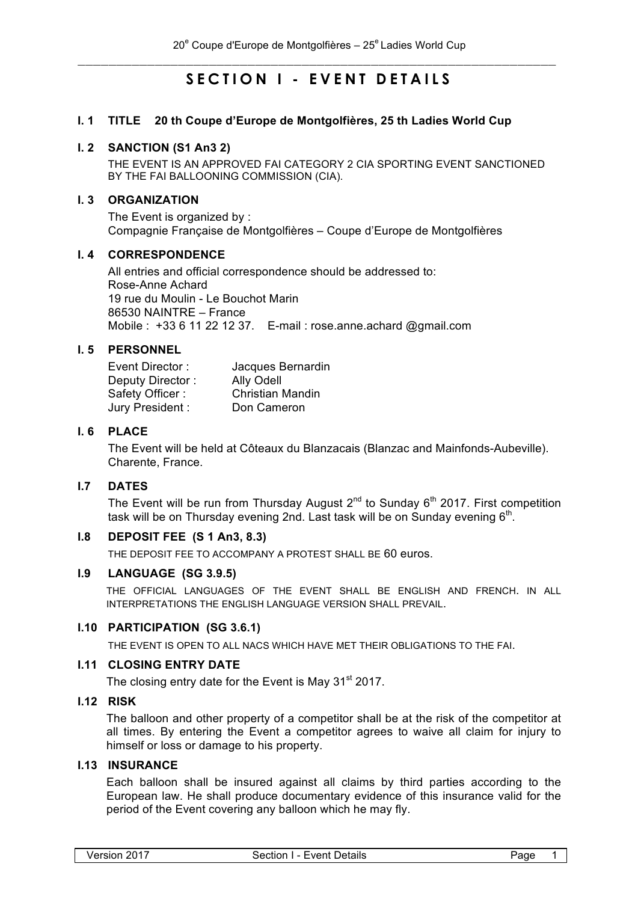# **SECTION I - EVENT DETAILS**

#### **I. 1 TITLE 20 th Coupe d'Europe de Montgolfières, 25 th Ladies World Cup**

#### **I. 2 SANCTION (S1 An3 2)**

THE EVENT IS AN APPROVED FAI CATEGORY 2 CIA SPORTING EVENT SANCTIONED BY THE FAI BALLOONING COMMISSION (CIA).

#### **I. 3 ORGANIZATION**

The Event is organized by : Compagnie Française de Montgolfières – Coupe d'Europe de Montgolfières

#### **I. 4 CORRESPONDENCE**

All entries and official correspondence should be addressed to: Rose-Anne Achard 19 rue du Moulin - Le Bouchot Marin 86530 NAINTRE – France Mobile : +33 6 11 22 12 37. E-mail : rose.anne.achard @gmail.com

#### **I. 5 PERSONNEL**

| Event Director:  | Jacques Bernardin       |
|------------------|-------------------------|
| Deputy Director: | Ally Odell              |
| Safety Officer:  | <b>Christian Mandin</b> |
| Jury President:  | Don Cameron             |

# **I. 6 PLACE**

The Event will be held at Côteaux du Blanzacais (Blanzac and Mainfonds-Aubeville). Charente, France.

# **I.7 DATES**

The Event will be run from Thursday August  $2^{nd}$  to Sunday  $6^{th}$  2017. First competition task will be on Thursday evening 2nd. Last task will be on Sunday evening  $6<sup>th</sup>$ .

#### **I.8 DEPOSIT FEE (S 1 An3, 8.3)**

THE DEPOSIT FEE TO ACCOMPANY A PROTEST SHALL BE 60 euros.

#### **I.9 LANGUAGE (SG 3.9.5)**

THE OFFICIAL LANGUAGES OF THE EVENT SHALL BE ENGLISH AND FRENCH. IN ALL INTERPRETATIONS THE ENGLISH LANGUAGE VERSION SHALL PREVAIL.

#### **I.10 PARTICIPATION (SG 3.6.1)**

THE EVENT IS OPEN TO ALL NACS WHICH HAVE MET THEIR OBLIGATIONS TO THE FAI.

#### **I.11 CLOSING ENTRY DATE**

The closing entry date for the Event is May 31<sup>st</sup> 2017.

# **I.12 RISK**

The balloon and other property of a competitor shall be at the risk of the competitor at all times. By entering the Event a competitor agrees to waive all claim for injury to himself or loss or damage to his property.

#### **I.13 INSURANCE**

Each balloon shall be insured against all claims by third parties according to the European law. He shall produce documentary evidence of this insurance valid for the period of the Event covering any balloon which he may fly.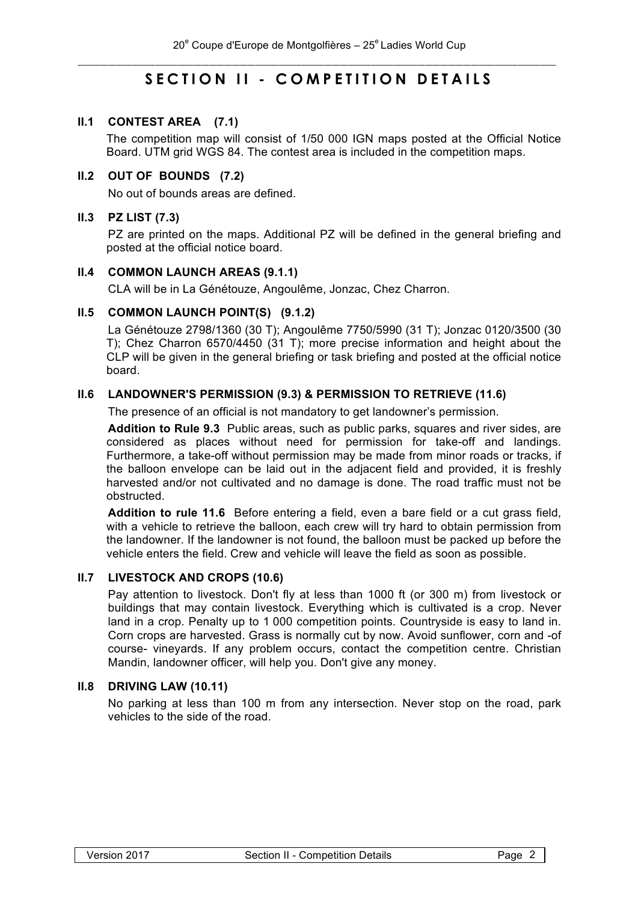# **SECTION II - COMPETITION DETAILS**

# **II.1 CONTEST AREA (7.1)**

The competition map will consist of 1/50 000 IGN maps posted at the Official Notice Board. UTM grid WGS 84. The contest area is included in the competition maps.

# **II.2 OUT OF BOUNDS (7.2)**

No out of bounds areas are defined.

# **II.3 PZ LIST (7.3)**

PZ are printed on the maps. Additional PZ will be defined in the general briefing and posted at the official notice board.

#### **II.4 COMMON LAUNCH AREAS (9.1.1)**

CLA will be in La Génétouze, Angoulême, Jonzac, Chez Charron.

# **II.5 COMMON LAUNCH POINT(S) (9.1.2)**

La Génétouze 2798/1360 (30 T); Angoulême 7750/5990 (31 T); Jonzac 0120/3500 (30 T); Chez Charron 6570/4450 (31 T); more precise information and height about the CLP will be given in the general briefing or task briefing and posted at the official notice board.

# **II.6 LANDOWNER'S PERMISSION (9.3) & PERMISSION TO RETRIEVE (11.6)**

The presence of an official is not mandatory to get landowner's permission.

**Addition to Rule 9.3** Public areas, such as public parks, squares and river sides, are considered as places without need for permission for take-off and landings. Furthermore, a take-off without permission may be made from minor roads or tracks, if the balloon envelope can be laid out in the adjacent field and provided, it is freshly harvested and/or not cultivated and no damage is done. The road traffic must not be obstructed.

**Addition to rule 11.6** Before entering a field, even a bare field or a cut grass field, with a vehicle to retrieve the balloon, each crew will try hard to obtain permission from the landowner. If the landowner is not found, the balloon must be packed up before the vehicle enters the field. Crew and vehicle will leave the field as soon as possible.

#### **II.7 LIVESTOCK AND CROPS (10.6)**

Pay attention to livestock. Don't fly at less than 1000 ft (or 300 m) from livestock or buildings that may contain livestock. Everything which is cultivated is a crop. Never land in a crop. Penalty up to 1 000 competition points. Countryside is easy to land in. Corn crops are harvested. Grass is normally cut by now. Avoid sunflower, corn and -of course- vineyards. If any problem occurs, contact the competition centre. Christian Mandin, landowner officer, will help you. Don't give any money.

#### **II.8 DRIVING LAW (10.11)**

No parking at less than 100 m from any intersection. Never stop on the road, park vehicles to the side of the road.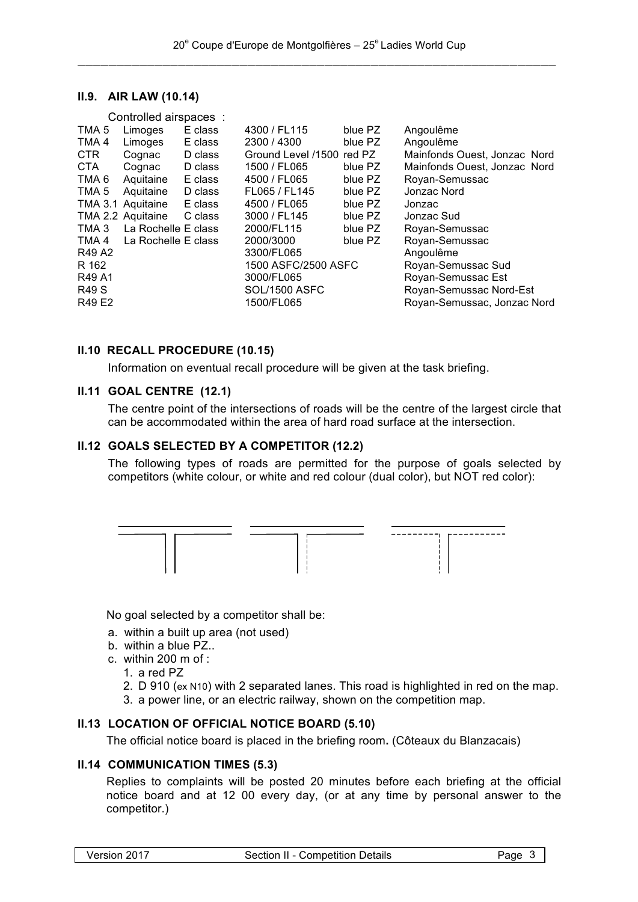#### **II.9. AIR LAW (10.14)**

|                  | Controlled airspaces :    |         |                           |         |                              |
|------------------|---------------------------|---------|---------------------------|---------|------------------------------|
| TMA 5            | Limoges                   | E class | 4300 / FL115              | blue PZ | Angoulême                    |
| TMA 4            | Limoges                   | E class | 2300 / 4300               | blue PZ | Angoulême                    |
| CTR.             | Cognac                    | D class | Ground Level /1500 red PZ |         | Mainfonds Ouest, Jonzac Nord |
| CTA              | Cognac                    | D class | 1500 / FL065              | blue PZ | Mainfonds Ouest, Jonzac Nord |
| TMA <sub>6</sub> | Aquitaine                 | E class | 4500 / FL065              | blue PZ | Royan-Semussac               |
| TMA <sub>5</sub> | Aquitaine                 | D class | FL065 / FL145             | blue PZ | Jonzac Nord                  |
|                  | TMA 3.1 Aquitaine         | E class | 4500 / FL065              | blue PZ | Jonzac                       |
|                  | TMA 2.2 Aquitaine         | C class | 3000 / FL145              | blue PZ | Jonzac Sud                   |
| TMA 3            | La Rochelle E class       |         | 2000/FL115                | blue PZ | Royan-Semussac               |
|                  | TMA 4 La Rochelle E class |         | 2000/3000                 | blue PZ | Royan-Semussac               |
| R49 A2           |                           |         | 3300/FL065                |         | Angoulême                    |
| R 162            |                           |         | 1500 ASFC/2500 ASFC       |         | Royan-Semussac Sud           |
| R49 A1           |                           |         | 3000/FL065                |         | Royan-Semussac Est           |
| <b>R49 S</b>     |                           |         | <b>SOL/1500 ASFC</b>      |         | Royan-Semussac Nord-Est      |
| R49 E2           |                           |         | 1500/FL065                |         | Royan-Semussac, Jonzac Nord  |
|                  |                           |         |                           |         |                              |

#### **II.10 RECALL PROCEDURE (10.15)**

Information on eventual recall procedure will be given at the task briefing.

### **II.11 GOAL CENTRE (12.1)**

The centre point of the intersections of roads will be the centre of the largest circle that can be accommodated within the area of hard road surface at the intersection.

#### **II.12 GOALS SELECTED BY A COMPETITOR (12.2)**

The following types of roads are permitted for the purpose of goals selected by competitors (white colour, or white and red colour (dual color), but NOT red color):



No goal selected by a competitor shall be:

- a. within a built up area (not used)
- b. within a blue PZ..
- c. within 200 m of  $\cdot$ 
	- 1. a red PZ
	- 2. D 910 (ex N10) with 2 separated lanes. This road is highlighted in red on the map.
	- 3. a power line, or an electric railway, shown on the competition map.

# **II.13 LOCATION OF OFFICIAL NOTICE BOARD (5.10)**

The official notice board is placed in the briefing room**.** (Côteaux du Blanzacais)

# **II.14 COMMUNICATION TIMES (5.3)**

Replies to complaints will be posted 20 minutes before each briefing at the official notice board and at 12 00 every day, (or at any time by personal answer to the competitor.)

|  | Version 2017 |  |
|--|--------------|--|
|--|--------------|--|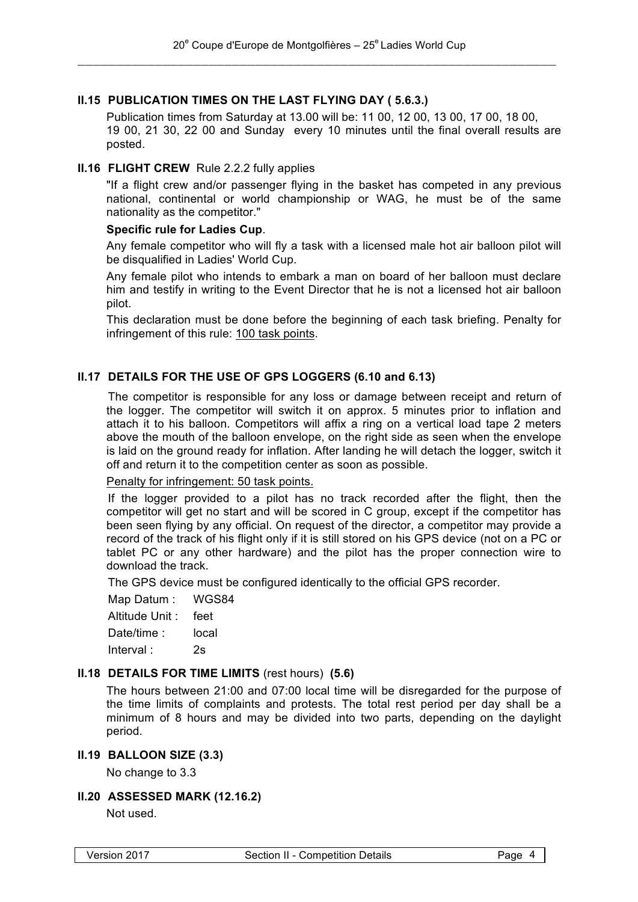# **II.15 PUBLICATION TIMES ON THE LAST FLYING DAY ( 5.6.3.)**

Publication times from Saturday at 13.00 will be: 11 00, 12 00, 13 00, 17 00, 18 00, 19 00, 21 30, 22 00 and Sunday every 10 minutes until the final overall results are posted.

#### **II.16 FLIGHT CREW** Rule 2.2.2 fully applies

"If a flight crew and/or passenger flying in the basket has competed in any previous national, continental or world championship or WAG, he must be of the same nationality as the competitor."

#### **Specific rule for Ladies Cup**.

Any female competitor who will fly a task with a licensed male hot air balloon pilot will be disqualified in Ladies' World Cup.

Any female pilot who intends to embark a man on board of her balloon must declare him and testify in writing to the Event Director that he is not a licensed hot air balloon pilot.

This declaration must be done before the beginning of each task briefing. Penalty for infringement of this rule: 100 task points.

# **II.17 DETAILS FOR THE USE OF GPS LOGGERS (6.10 and 6.13)**

The competitor is responsible for any loss or damage between receipt and return of the logger. The competitor will switch it on approx. 5 minutes prior to inflation and attach it to his balloon. Competitors will affix a ring on a vertical load tape 2 meters above the mouth of the balloon envelope, on the right side as seen when the envelope is laid on the ground ready for inflation. After landing he will detach the logger, switch it off and return it to the competition center as soon as possible.

#### Penalty for infringement: 50 task points.

If the logger provided to a pilot has no track recorded after the flight, then the competitor will get no start and will be scored in C group, except if the competitor has been seen flying by any official. On request of the director, a competitor may provide a record of the track of his flight only if it is still stored on his GPS device (not on a PC or tablet PC or any other hardware) and the pilot has the proper connection wire to download the track.

The GPS device must be configured identically to the official GPS recorder.

Map Datum : WGS84

Altitude Unit : feet

Date/time : local

Interval : 2s

# **II.18 DETAILS FOR TIME LIMITS** (rest hours) **(5.6)**

The hours between 21:00 and 07:00 local time will be disregarded for the purpose of the time limits of complaints and protests. The total rest period per day shall be a minimum of 8 hours and may be divided into two parts, depending on the daylight period.

#### **II.19 BALLOON SIZE (3.3)**

No change to 3.3

#### **II.20 ASSESSED MARK (12.16.2)**

Not used.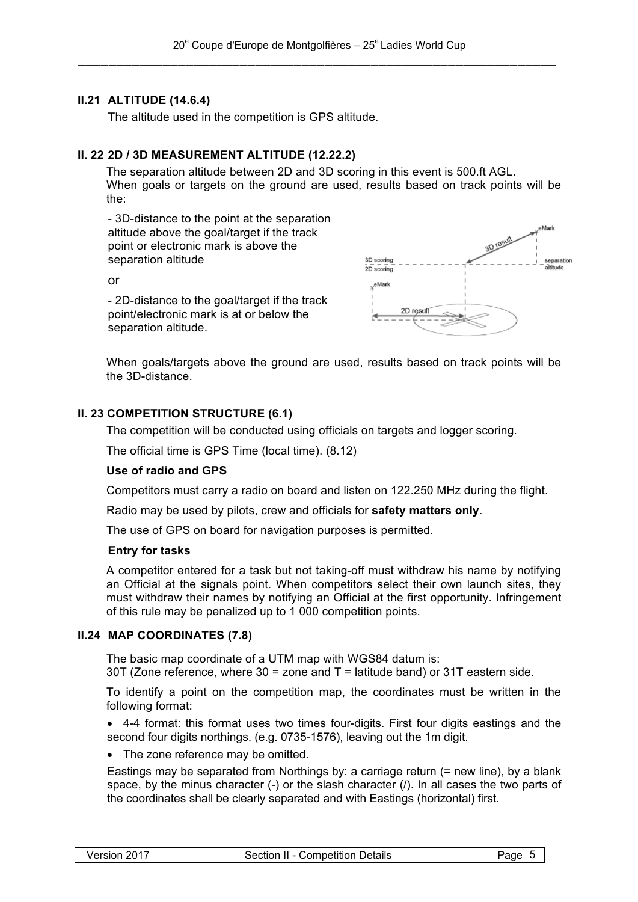# **II.21 ALTITUDE (14.6.4)**

The altitude used in the competition is GPS altitude.

# **II. 22 2D / 3D MEASUREMENT ALTITUDE (12.22.2)**

The separation altitude between 2D and 3D scoring in this event is 500.ft AGL. When goals or targets on the ground are used, results based on track points will be the:

- 3D-distance to the point at the separation altitude above the goal/target if the track point or electronic mark is above the separation altitude

or

- 2D-distance to the goal/target if the track point/electronic mark is at or below the separation altitude.



When goals/targets above the ground are used, results based on track points will be the 3D-distance.

# **II. 23 COMPETITION STRUCTURE (6.1)**

The competition will be conducted using officials on targets and logger scoring.

The official time is GPS Time (local time). (8.12)

#### **Use of radio and GPS**

Competitors must carry a radio on board and listen on 122.250 MHz during the flight.

Radio may be used by pilots, crew and officials for **safety matters only**.

The use of GPS on board for navigation purposes is permitted.

# **Entry for tasks**

A competitor entered for a task but not taking-off must withdraw his name by notifying an Official at the signals point. When competitors select their own launch sites, they must withdraw their names by notifying an Official at the first opportunity. Infringement of this rule may be penalized up to 1 000 competition points.

# **II.24 MAP COORDINATES (7.8)**

The basic map coordinate of a UTM map with WGS84 datum is:

30T (Zone reference, where  $30 =$  zone and  $T =$  latitude band) or 31T eastern side.

To identify a point on the competition map, the coordinates must be written in the following format:

• 4-4 format: this format uses two times four-digits. First four digits eastings and the second four digits northings. (e.g. 0735-1576), leaving out the 1m digit.

• The zone reference may be omitted.

Eastings may be separated from Northings by: a carriage return (= new line), by a blank space, by the minus character (-) or the slash character (/). In all cases the two parts of the coordinates shall be clearly separated and with Eastings (horizontal) first.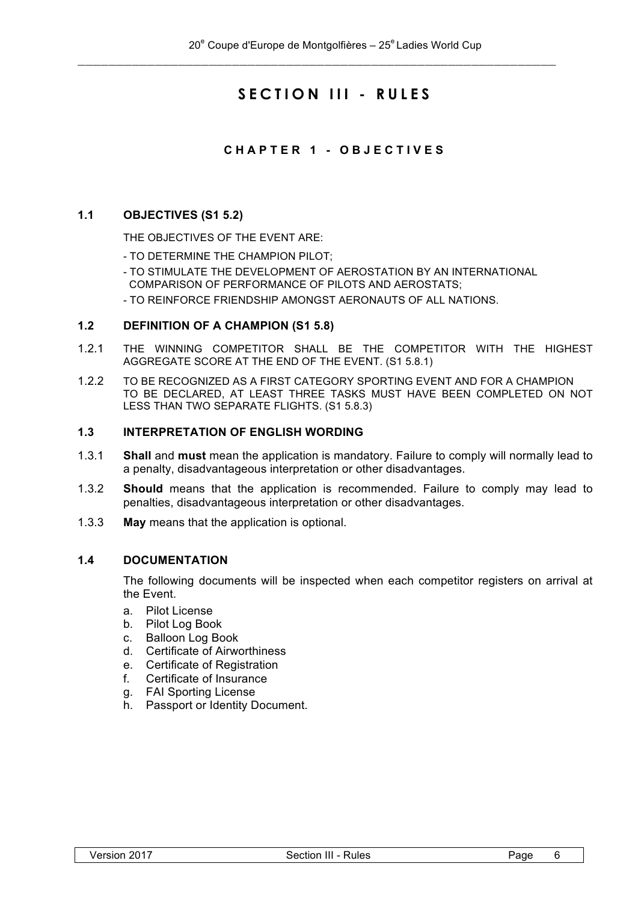# **SECTION III - RULES**

# **CHAPTER 1 - OBJECTIVES**

#### **1.1 OBJECTIVES (S1 5.2)**

THE OBJECTIVES OF THE EVENT ARE:

- TO DETERMINE THE CHAMPION PILOT;
- TO STIMULATE THE DEVELOPMENT OF AEROSTATION BY AN INTERNATIONAL COMPARISON OF PERFORMANCE OF PILOTS AND AEROSTATS;
- TO REINFORCE FRIENDSHIP AMONGST AERONAUTS OF ALL NATIONS.

#### **1.2 DEFINITION OF A CHAMPION (S1 5.8)**

- 1.2.1 THE WINNING COMPETITOR SHALL BE THE COMPETITOR WITH THE HIGHEST AGGREGATE SCORE AT THE END OF THE EVENT. (S1 5.8.1)
- 1.2.2 TO BE RECOGNIZED AS A FIRST CATEGORY SPORTING EVENT AND FOR A CHAMPION TO BE DECLARED, AT LEAST THREE TASKS MUST HAVE BEEN COMPLETED ON NOT LESS THAN TWO SEPARATE FLIGHTS. (S1 5.8.3)

#### **1.3 INTERPRETATION OF ENGLISH WORDING**

- 1.3.1 **Shall** and **must** mean the application is mandatory. Failure to comply will normally lead to a penalty, disadvantageous interpretation or other disadvantages.
- 1.3.2 **Should** means that the application is recommended. Failure to comply may lead to penalties, disadvantageous interpretation or other disadvantages.
- 1.3.3 **May** means that the application is optional.

#### **1.4 DOCUMENTATION**

The following documents will be inspected when each competitor registers on arrival at the Event.

- a. Pilot License
- b. Pilot Log Book
- c. Balloon Log Book
- d. Certificate of Airworthiness
- e. Certificate of Registration
- f. Certificate of Insurance
- g. FAI Sporting License
- h. Passport or Identity Document.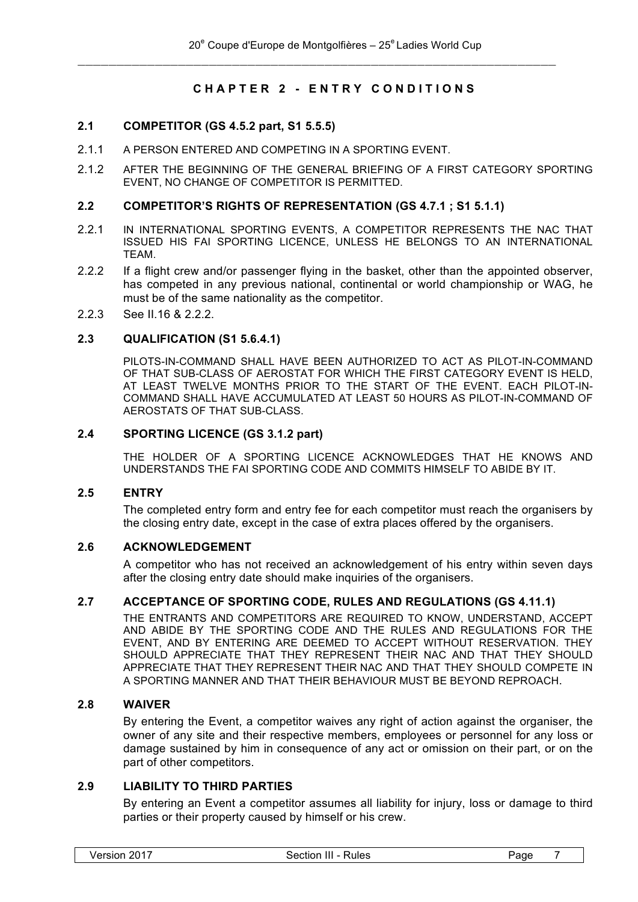# **CHAPTER 2 - ENTRY CONDITIONS**

# **2.1 COMPETITOR (GS 4.5.2 part, S1 5.5.5)**

- 2.1.1 A PERSON ENTERED AND COMPETING IN A SPORTING EVENT.
- 2.1.2 AFTER THE BEGINNING OF THE GENERAL BRIEFING OF A FIRST CATEGORY SPORTING EVENT, NO CHANGE OF COMPETITOR IS PERMITTED.

#### **2.2 COMPETITOR'S RIGHTS OF REPRESENTATION (GS 4.7.1 ; S1 5.1.1)**

- 2.2.1 IN INTERNATIONAL SPORTING EVENTS, A COMPETITOR REPRESENTS THE NAC THAT ISSUED HIS FAI SPORTING LICENCE, UNLESS HE BELONGS TO AN INTERNATIONAL TEAM.
- 2.2.2 If a flight crew and/or passenger flying in the basket, other than the appointed observer, has competed in any previous national, continental or world championship or WAG, he must be of the same nationality as the competitor.
- 2.2.3 See II.16 & 2.2.2.

#### **2.3 QUALIFICATION (S1 5.6.4.1)**

PILOTS-IN-COMMAND SHALL HAVE BEEN AUTHORIZED TO ACT AS PILOT-IN-COMMAND OF THAT SUB-CLASS OF AEROSTAT FOR WHICH THE FIRST CATEGORY EVENT IS HELD, AT LEAST TWELVE MONTHS PRIOR TO THE START OF THE EVENT. EACH PILOT-IN-COMMAND SHALL HAVE ACCUMULATED AT LEAST 50 HOURS AS PILOT-IN-COMMAND OF AEROSTATS OF THAT SUB-CLASS.

#### **2.4 SPORTING LICENCE (GS 3.1.2 part)**

THE HOLDER OF A SPORTING LICENCE ACKNOWLEDGES THAT HE KNOWS AND UNDERSTANDS THE FAI SPORTING CODE AND COMMITS HIMSELF TO ABIDE BY IT.

#### **2.5 ENTRY**

The completed entry form and entry fee for each competitor must reach the organisers by the closing entry date, except in the case of extra places offered by the organisers.

#### **2.6 ACKNOWLEDGEMENT**

A competitor who has not received an acknowledgement of his entry within seven days after the closing entry date should make inquiries of the organisers.

# **2.7 ACCEPTANCE OF SPORTING CODE, RULES AND REGULATIONS (GS 4.11.1)**

THE ENTRANTS AND COMPETITORS ARE REQUIRED TO KNOW, UNDERSTAND, ACCEPT AND ABIDE BY THE SPORTING CODE AND THE RULES AND REGULATIONS FOR THE EVENT, AND BY ENTERING ARE DEEMED TO ACCEPT WITHOUT RESERVATION. THEY SHOULD APPRECIATE THAT THEY REPRESENT THEIR NAC AND THAT THEY SHOULD APPRECIATE THAT THEY REPRESENT THEIR NAC AND THAT THEY SHOULD COMPETE IN A SPORTING MANNER AND THAT THEIR BEHAVIOUR MUST BE BEYOND REPROACH.

#### **2.8 WAIVER**

By entering the Event, a competitor waives any right of action against the organiser, the owner of any site and their respective members, employees or personnel for any loss or damage sustained by him in consequence of any act or omission on their part, or on the part of other competitors.

# **2.9 LIABILITY TO THIRD PARTIES**

By entering an Event a competitor assumes all liability for injury, loss or damage to third parties or their property caused by himself or his crew.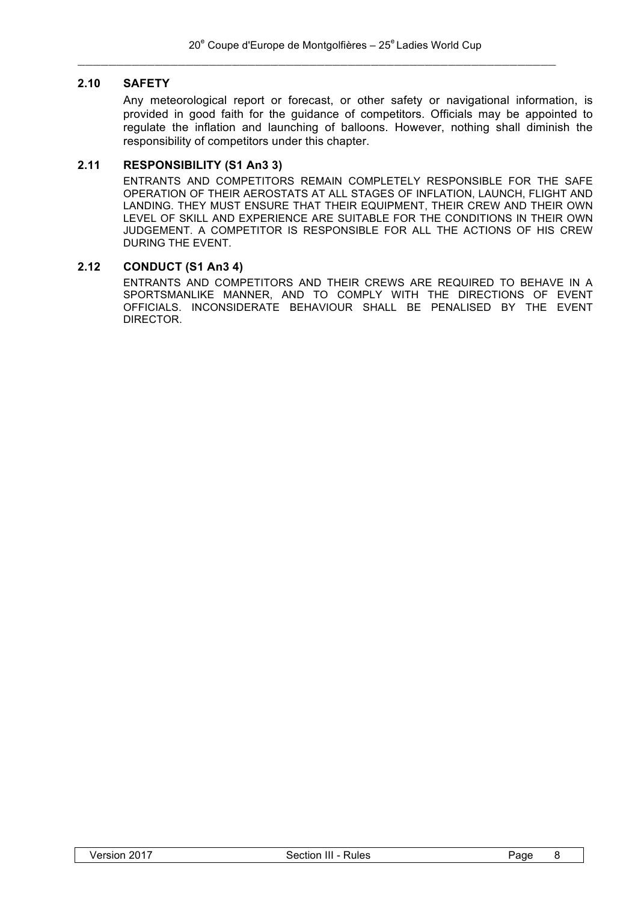# **2.10 SAFETY**

Any meteorological report or forecast, or other safety or navigational information, is provided in good faith for the guidance of competitors. Officials may be appointed to regulate the inflation and launching of balloons. However, nothing shall diminish the responsibility of competitors under this chapter.

# **2.11 RESPONSIBILITY (S1 An3 3)**

ENTRANTS AND COMPETITORS REMAIN COMPLETELY RESPONSIBLE FOR THE SAFE OPERATION OF THEIR AEROSTATS AT ALL STAGES OF INFLATION, LAUNCH, FLIGHT AND LANDING. THEY MUST ENSURE THAT THEIR EQUIPMENT, THEIR CREW AND THEIR OWN LEVEL OF SKILL AND EXPERIENCE ARE SUITABLE FOR THE CONDITIONS IN THEIR OWN JUDGEMENT. A COMPETITOR IS RESPONSIBLE FOR ALL THE ACTIONS OF HIS CREW DURING THE EVENT.

# **2.12 CONDUCT (S1 An3 4)**

ENTRANTS AND COMPETITORS AND THEIR CREWS ARE REQUIRED TO BEHAVE IN A SPORTSMANLIKE MANNER, AND TO COMPLY WITH THE DIRECTIONS OF EVENT OFFICIALS. INCONSIDERATE BEHAVIOUR SHALL BE PENALISED BY THE EVENT DIRECTOR.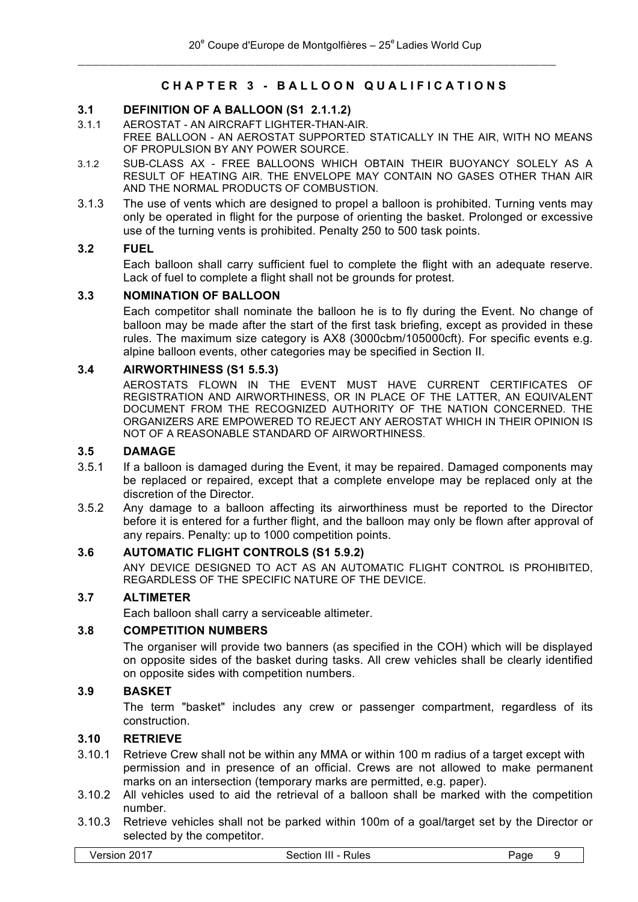# **CHAPTER 3 - BALLOON QUALIFICATIONS**

#### **3.1 DEFINITION OF A BALLOON (S1 2.1.1.2)**

- 3.1.1 AEROSTAT AN AIRCRAFT LIGHTER-THAN-AIR. FREE BALLOON - AN AEROSTAT SUPPORTED STATICALLY IN THE AIR, WITH NO MEANS OF PROPULSION BY ANY POWER SOURCE.
- 3.1.2 SUB-CLASS AX FREE BALLOONS WHICH OBTAIN THEIR BUOYANCY SOLELY AS A RESULT OF HEATING AIR. THE ENVELOPE MAY CONTAIN NO GASES OTHER THAN AIR AND THE NORMAL PRODUCTS OF COMBUSTION.
- 3.1.3 The use of vents which are designed to propel a balloon is prohibited. Turning vents may only be operated in flight for the purpose of orienting the basket. Prolonged or excessive use of the turning vents is prohibited. Penalty 250 to 500 task points.

#### **3.2 FUEL**

Each balloon shall carry sufficient fuel to complete the flight with an adequate reserve. Lack of fuel to complete a flight shall not be grounds for protest.

#### **3.3 NOMINATION OF BALLOON**

Each competitor shall nominate the balloon he is to fly during the Event. No change of balloon may be made after the start of the first task briefing, except as provided in these rules. The maximum size category is AX8 (3000cbm/105000cft). For specific events e.g. alpine balloon events, other categories may be specified in Section II.

#### **3.4 AIRWORTHINESS (S1 5.5.3)**

AEROSTATS FLOWN IN THE EVENT MUST HAVE CURRENT CERTIFICATES OF REGISTRATION AND AIRWORTHINESS, OR IN PLACE OF THE LATTER, AN EQUIVALENT DOCUMENT FROM THE RECOGNIZED AUTHORITY OF THE NATION CONCERNED. THE ORGANIZERS ARE EMPOWERED TO REJECT ANY AEROSTAT WHICH IN THEIR OPINION IS NOT OF A REASONABLE STANDARD OF AIRWORTHINESS.

#### **3.5 DAMAGE**

- 3.5.1 If a balloon is damaged during the Event, it may be repaired. Damaged components may be replaced or repaired, except that a complete envelope may be replaced only at the discretion of the Director.
- 3.5.2 Any damage to a balloon affecting its airworthiness must be reported to the Director before it is entered for a further flight, and the balloon may only be flown after approval of any repairs. Penalty: up to 1000 competition points.

#### **3.6 AUTOMATIC FLIGHT CONTROLS (S1 5.9.2)**

ANY DEVICE DESIGNED TO ACT AS AN AUTOMATIC FLIGHT CONTROL IS PROHIBITED, REGARDLESS OF THE SPECIFIC NATURE OF THE DEVICE.

# **3.7 ALTIMETER**

Each balloon shall carry a serviceable altimeter.

#### **3.8 COMPETITION NUMBERS**

The organiser will provide two banners (as specified in the COH) which will be displayed on opposite sides of the basket during tasks. All crew vehicles shall be clearly identified on opposite sides with competition numbers.

#### **3.9 BASKET**

The term "basket" includes any crew or passenger compartment, regardless of its construction.

#### **3.10 RETRIEVE**

- 3.10.1 Retrieve Crew shall not be within any MMA or within 100 m radius of a target except with permission and in presence of an official. Crews are not allowed to make permanent marks on an intersection (temporary marks are permitted, e.g. paper).
- 3.10.2 All vehicles used to aid the retrieval of a balloon shall be marked with the competition number.
- 3.10.3 Retrieve vehicles shall not be parked within 100m of a goal/target set by the Director or selected by the competitor.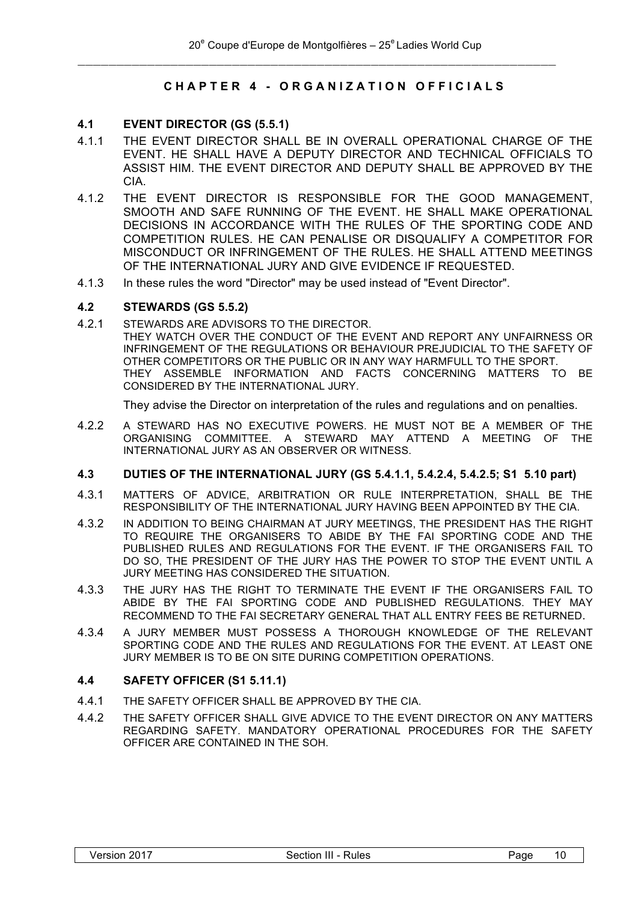# **CHAPTER 4 - ORGANIZATION OFFICIALS**

#### **4.1 EVENT DIRECTOR (GS (5.5.1)**

- 4.1.1 THE EVENT DIRECTOR SHALL BE IN OVERALL OPERATIONAL CHARGE OF THE EVENT. HE SHALL HAVE A DEPUTY DIRECTOR AND TECHNICAL OFFICIALS TO ASSIST HIM. THE EVENT DIRECTOR AND DEPUTY SHALL BE APPROVED BY THE CIA.
- 4.1.2 THE EVENT DIRECTOR IS RESPONSIBLE FOR THE GOOD MANAGEMENT, SMOOTH AND SAFE RUNNING OF THE EVENT. HE SHALL MAKE OPERATIONAL DECISIONS IN ACCORDANCE WITH THE RULES OF THE SPORTING CODE AND COMPETITION RULES. HE CAN PENALISE OR DISQUALIFY A COMPETITOR FOR MISCONDUCT OR INFRINGEMENT OF THE RULES. HE SHALL ATTEND MEETINGS OF THE INTERNATIONAL JURY AND GIVE EVIDENCE IF REQUESTED.
- 4.1.3 In these rules the word "Director" may be used instead of "Event Director".

#### **4.2 STEWARDS (GS 5.5.2)**

4.2.1 STEWARDS ARE ADVISORS TO THE DIRECTOR. THEY WATCH OVER THE CONDUCT OF THE EVENT AND REPORT ANY UNFAIRNESS OR INFRINGEMENT OF THE REGULATIONS OR BEHAVIOUR PREJUDICIAL TO THE SAFETY OF OTHER COMPETITORS OR THE PUBLIC OR IN ANY WAY HARMFULL TO THE SPORT. THEY ASSEMBLE INFORMATION AND FACTS CONCERNING MATTERS TO BE CONSIDERED BY THE INTERNATIONAL JURY.

They advise the Director on interpretation of the rules and regulations and on penalties.

4.2.2 A STEWARD HAS NO EXECUTIVE POWERS. HE MUST NOT BE A MEMBER OF THE ORGANISING COMMITTEE. A STEWARD MAY ATTEND A MEETING OF THE INTERNATIONAL JURY AS AN OBSERVER OR WITNESS.

#### **4.3 DUTIES OF THE INTERNATIONAL JURY (GS 5.4.1.1, 5.4.2.4, 5.4.2.5; S1 5.10 part)**

- 4.3.1 MATTERS OF ADVICE, ARBITRATION OR RULE INTERPRETATION, SHALL BE THE RESPONSIBILITY OF THE INTERNATIONAL JURY HAVING BEEN APPOINTED BY THE CIA.
- 4.3.2 IN ADDITION TO BEING CHAIRMAN AT JURY MEETINGS, THE PRESIDENT HAS THE RIGHT TO REQUIRE THE ORGANISERS TO ABIDE BY THE FAI SPORTING CODE AND THE PUBLISHED RULES AND REGULATIONS FOR THE EVENT. IF THE ORGANISERS FAIL TO DO SO, THE PRESIDENT OF THE JURY HAS THE POWER TO STOP THE EVENT UNTIL A JURY MEETING HAS CONSIDERED THE SITUATION.
- 4.3.3 THE JURY HAS THE RIGHT TO TERMINATE THE EVENT IF THE ORGANISERS FAIL TO ABIDE BY THE FAI SPORTING CODE AND PUBLISHED REGULATIONS. THEY MAY RECOMMEND TO THE FAI SECRETARY GENERAL THAT ALL ENTRY FEES BE RETURNED.
- 4.3.4 A JURY MEMBER MUST POSSESS A THOROUGH KNOWLEDGE OF THE RELEVANT SPORTING CODE AND THE RULES AND REGULATIONS FOR THE EVENT. AT LEAST ONE JURY MEMBER IS TO BE ON SITE DURING COMPETITION OPERATIONS.

#### **4.4 SAFETY OFFICER (S1 5.11.1)**

- 4.4.1 THE SAFETY OFFICER SHALL BE APPROVED BY THE CIA.
- 4.4.2 THE SAFETY OFFICER SHALL GIVE ADVICE TO THE EVENT DIRECTOR ON ANY MATTERS REGARDING SAFETY. MANDATORY OPERATIONAL PROCEDURES FOR THE SAFETY OFFICER ARE CONTAINED IN THE SOH.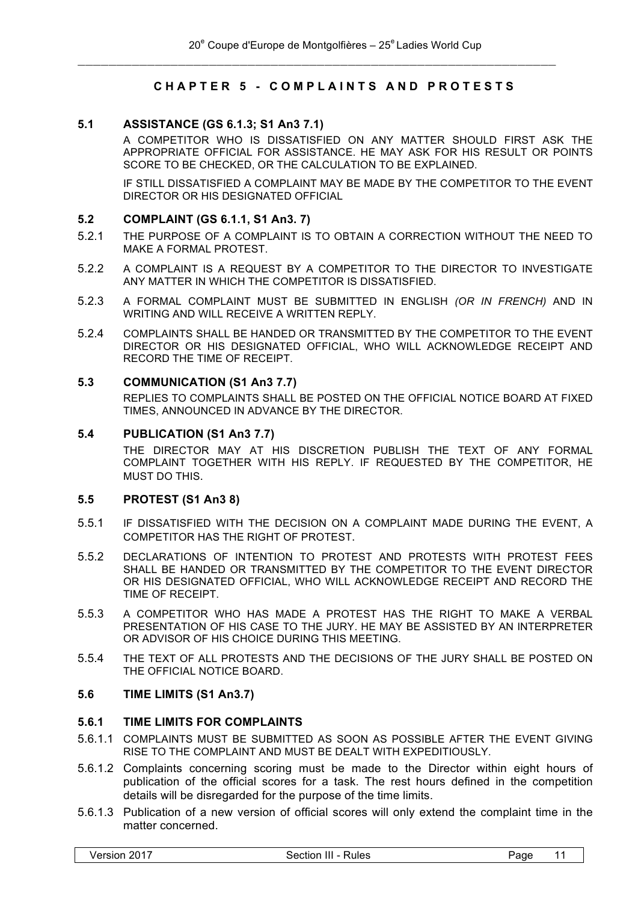# **CHAPTER 5 - COMPLAINTS AND PROTESTS**

#### **5.1 ASSISTANCE (GS 6.1.3; S1 An3 7.1)**

A COMPETITOR WHO IS DISSATISFIED ON ANY MATTER SHOULD FIRST ASK THE APPROPRIATE OFFICIAL FOR ASSISTANCE. HE MAY ASK FOR HIS RESULT OR POINTS SCORE TO BE CHECKED, OR THE CALCULATION TO BE EXPLAINED.

IF STILL DISSATISFIED A COMPLAINT MAY BE MADE BY THE COMPETITOR TO THE EVENT DIRECTOR OR HIS DESIGNATED OFFICIAL

#### **5.2 COMPLAINT (GS 6.1.1, S1 An3. 7)**

- 5.2.1 THE PURPOSE OF A COMPLAINT IS TO OBTAIN A CORRECTION WITHOUT THE NEED TO MAKE A FORMAL PROTEST.
- 5.2.2 A COMPLAINT IS A REQUEST BY A COMPETITOR TO THE DIRECTOR TO INVESTIGATE ANY MATTER IN WHICH THE COMPETITOR IS DISSATISFIED.
- 5.2.3 A FORMAL COMPLAINT MUST BE SUBMITTED IN ENGLISH *(OR IN FRENCH)* AND IN WRITING AND WILL RECEIVE A WRITTEN REPLY.
- 5.2.4 COMPLAINTS SHALL BE HANDED OR TRANSMITTED BY THE COMPETITOR TO THE EVENT DIRECTOR OR HIS DESIGNATED OFFICIAL, WHO WILL ACKNOWLEDGE RECEIPT AND RECORD THE TIME OF RECEIPT.

#### **5.3 COMMUNICATION (S1 An3 7.7)**

REPLIES TO COMPLAINTS SHALL BE POSTED ON THE OFFICIAL NOTICE BOARD AT FIXED TIMES, ANNOUNCED IN ADVANCE BY THE DIRECTOR.

#### **5.4 PUBLICATION (S1 An3 7.7)**

THE DIRECTOR MAY AT HIS DISCRETION PUBLISH THE TEXT OF ANY FORMAL COMPLAINT TOGETHER WITH HIS REPLY. IF REQUESTED BY THE COMPETITOR, HE MUST DO THIS.

#### **5.5 PROTEST (S1 An3 8)**

- 5.5.1 IF DISSATISFIED WITH THE DECISION ON A COMPLAINT MADE DURING THE EVENT, A COMPETITOR HAS THE RIGHT OF PROTEST.
- 5.5.2 DECLARATIONS OF INTENTION TO PROTEST AND PROTESTS WITH PROTEST FEES SHALL BE HANDED OR TRANSMITTED BY THE COMPETITOR TO THE EVENT DIRECTOR OR HIS DESIGNATED OFFICIAL, WHO WILL ACKNOWLEDGE RECEIPT AND RECORD THE TIME OF RECEIPT.
- 5.5.3 A COMPETITOR WHO HAS MADE A PROTEST HAS THE RIGHT TO MAKE A VERBAL PRESENTATION OF HIS CASE TO THE JURY. HE MAY BE ASSISTED BY AN INTERPRETER OR ADVISOR OF HIS CHOICE DURING THIS MEETING.
- 5.5.4 THE TEXT OF ALL PROTESTS AND THE DECISIONS OF THE JURY SHALL BE POSTED ON THE OFFICIAL NOTICE BOARD.

#### **5.6 TIME LIMITS (S1 An3.7)**

#### **5.6.1 TIME LIMITS FOR COMPLAINTS**

- 5.6.1.1 COMPLAINTS MUST BE SUBMITTED AS SOON AS POSSIBLE AFTER THE EVENT GIVING RISE TO THE COMPLAINT AND MUST BE DEALT WITH EXPEDITIOUSLY.
- 5.6.1.2 Complaints concerning scoring must be made to the Director within eight hours of publication of the official scores for a task. The rest hours defined in the competition details will be disregarded for the purpose of the time limits.
- 5.6.1.3 Publication of a new version of official scores will only extend the complaint time in the matter concerned.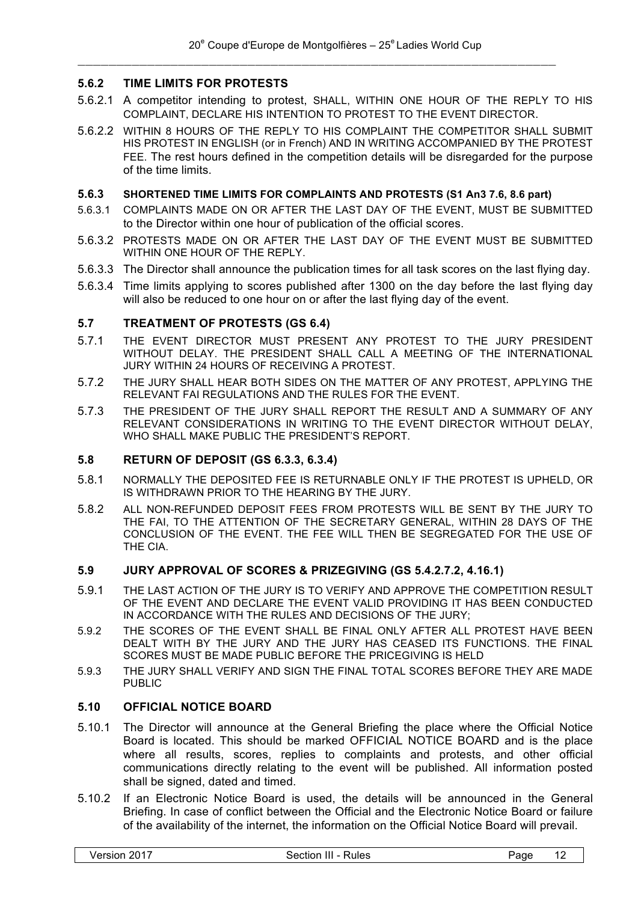# **5.6.2 TIME LIMITS FOR PROTESTS**

- 5.6.2.1 A competitor intending to protest, SHALL, WITHIN ONE HOUR OF THE REPLY TO HIS COMPLAINT, DECLARE HIS INTENTION TO PROTEST TO THE EVENT DIRECTOR.
- 5.6.2.2 WITHIN 8 HOURS OF THE REPLY TO HIS COMPLAINT THE COMPETITOR SHALL SUBMIT HIS PROTEST IN ENGLISH (or in French) AND IN WRITING ACCOMPANIED BY THE PROTEST FEE. The rest hours defined in the competition details will be disregarded for the purpose of the time limits.

#### **5.6.3 SHORTENED TIME LIMITS FOR COMPLAINTS AND PROTESTS (S1 An3 7.6, 8.6 part)**

- 5.6.3.1 COMPLAINTS MADE ON OR AFTER THE LAST DAY OF THE EVENT, MUST BE SUBMITTED to the Director within one hour of publication of the official scores.
- 5.6.3.2 PROTESTS MADE ON OR AFTER THE LAST DAY OF THE EVENT MUST BE SUBMITTED WITHIN ONE HOUR OF THE REPLY.
- 5.6.3.3 The Director shall announce the publication times for all task scores on the last flying day.
- 5.6.3.4 Time limits applying to scores published after 1300 on the day before the last flying day will also be reduced to one hour on or after the last flying day of the event.

#### **5.7 TREATMENT OF PROTESTS (GS 6.4)**

- 5.7.1 THE EVENT DIRECTOR MUST PRESENT ANY PROTEST TO THE JURY PRESIDENT WITHOUT DELAY. THE PRESIDENT SHALL CALL A MEETING OF THE INTERNATIONAL JURY WITHIN 24 HOURS OF RECEIVING A PROTEST.
- 5.7.2 THE JURY SHALL HEAR BOTH SIDES ON THE MATTER OF ANY PROTEST, APPLYING THE RELEVANT FAI REGULATIONS AND THE RULES FOR THE EVENT.
- 5.7.3 THE PRESIDENT OF THE JURY SHALL REPORT THE RESULT AND A SUMMARY OF ANY RELEVANT CONSIDERATIONS IN WRITING TO THE EVENT DIRECTOR WITHOUT DELAY, WHO SHALL MAKE PUBLIC THE PRESIDENT'S REPORT.

#### **5.8 RETURN OF DEPOSIT (GS 6.3.3, 6.3.4)**

- 5.8.1 NORMALLY THE DEPOSITED FEE IS RETURNABLE ONLY IF THE PROTEST IS UPHELD, OR IS WITHDRAWN PRIOR TO THE HEARING BY THE JURY.
- 5.8.2 ALL NON-REFUNDED DEPOSIT FEES FROM PROTESTS WILL BE SENT BY THE JURY TO THE FAI, TO THE ATTENTION OF THE SECRETARY GENERAL, WITHIN 28 DAYS OF THE CONCLUSION OF THE EVENT. THE FEE WILL THEN BE SEGREGATED FOR THE USE OF THE CIA.

#### **5.9 JURY APPROVAL OF SCORES & PRIZEGIVING (GS 5.4.2.7.2, 4.16.1)**

- 5.9.1 THE LAST ACTION OF THE JURY IS TO VERIFY AND APPROVE THE COMPETITION RESULT OF THE EVENT AND DECLARE THE EVENT VALID PROVIDING IT HAS BEEN CONDUCTED IN ACCORDANCE WITH THE RULES AND DECISIONS OF THE JURY;
- 5.9.2 THE SCORES OF THE EVENT SHALL BE FINAL ONLY AFTER ALL PROTEST HAVE BEEN DEALT WITH BY THE JURY AND THE JURY HAS CEASED ITS FUNCTIONS. THE FINAL SCORES MUST BE MADE PUBLIC BEFORE THE PRICEGIVING IS HELD
- 5.9.3 THE JURY SHALL VERIFY AND SIGN THE FINAL TOTAL SCORES BEFORE THEY ARE MADE PUBLIC

#### **5.10 OFFICIAL NOTICE BOARD**

- 5.10.1 The Director will announce at the General Briefing the place where the Official Notice Board is located. This should be marked OFFICIAL NOTICE BOARD and is the place where all results, scores, replies to complaints and protests, and other official communications directly relating to the event will be published. All information posted shall be signed, dated and timed.
- 5.10.2 If an Electronic Notice Board is used, the details will be announced in the General Briefing. In case of conflict between the Official and the Electronic Notice Board or failure of the availability of the internet, the information on the Official Notice Board will prevail.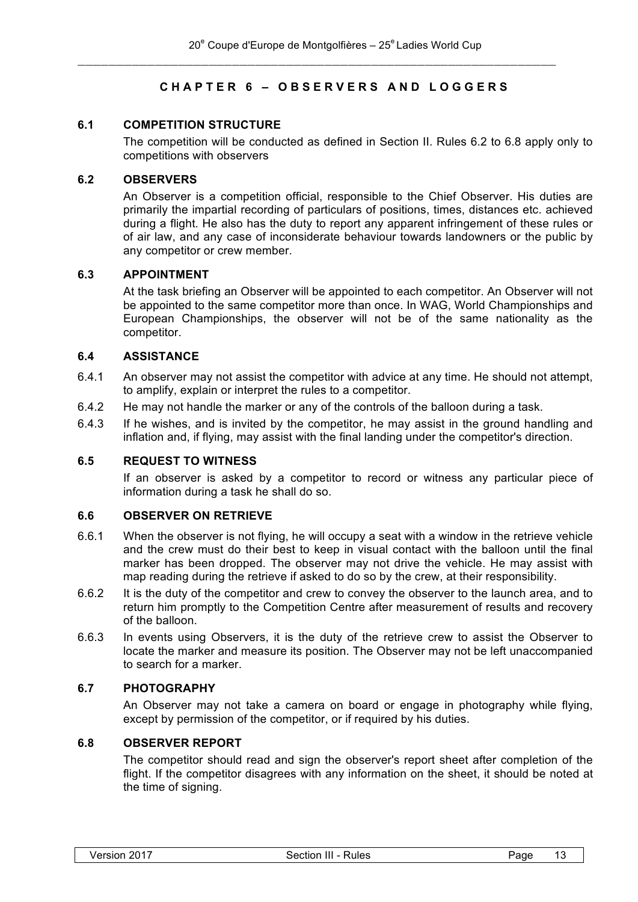# **CHAPTER 6 – OBSERVERS AND LOGGERS**

# **6.1 COMPETITION STRUCTURE**

The competition will be conducted as defined in Section II. Rules 6.2 to 6.8 apply only to competitions with observers

#### **6.2 OBSERVERS**

An Observer is a competition official, responsible to the Chief Observer. His duties are primarily the impartial recording of particulars of positions, times, distances etc. achieved during a flight. He also has the duty to report any apparent infringement of these rules or of air law, and any case of inconsiderate behaviour towards landowners or the public by any competitor or crew member.

#### **6.3 APPOINTMENT**

At the task briefing an Observer will be appointed to each competitor. An Observer will not be appointed to the same competitor more than once. In WAG, World Championships and European Championships, the observer will not be of the same nationality as the competitor.

#### **6.4 ASSISTANCE**

- 6.4.1 An observer may not assist the competitor with advice at any time. He should not attempt, to amplify, explain or interpret the rules to a competitor.
- 6.4.2 He may not handle the marker or any of the controls of the balloon during a task.
- 6.4.3 If he wishes, and is invited by the competitor, he may assist in the ground handling and inflation and, if flying, may assist with the final landing under the competitor's direction.

#### **6.5 REQUEST TO WITNESS**

If an observer is asked by a competitor to record or witness any particular piece of information during a task he shall do so.

#### **6.6 OBSERVER ON RETRIEVE**

- 6.6.1 When the observer is not flying, he will occupy a seat with a window in the retrieve vehicle and the crew must do their best to keep in visual contact with the balloon until the final marker has been dropped. The observer may not drive the vehicle. He may assist with map reading during the retrieve if asked to do so by the crew, at their responsibility.
- 6.6.2 It is the duty of the competitor and crew to convey the observer to the launch area, and to return him promptly to the Competition Centre after measurement of results and recovery of the balloon.
- 6.6.3 In events using Observers, it is the duty of the retrieve crew to assist the Observer to locate the marker and measure its position. The Observer may not be left unaccompanied to search for a marker.

#### **6.7 PHOTOGRAPHY**

An Observer may not take a camera on board or engage in photography while flying, except by permission of the competitor, or if required by his duties.

#### **6.8 OBSERVER REPORT**

The competitor should read and sign the observer's report sheet after completion of the flight. If the competitor disagrees with any information on the sheet, it should be noted at the time of signing.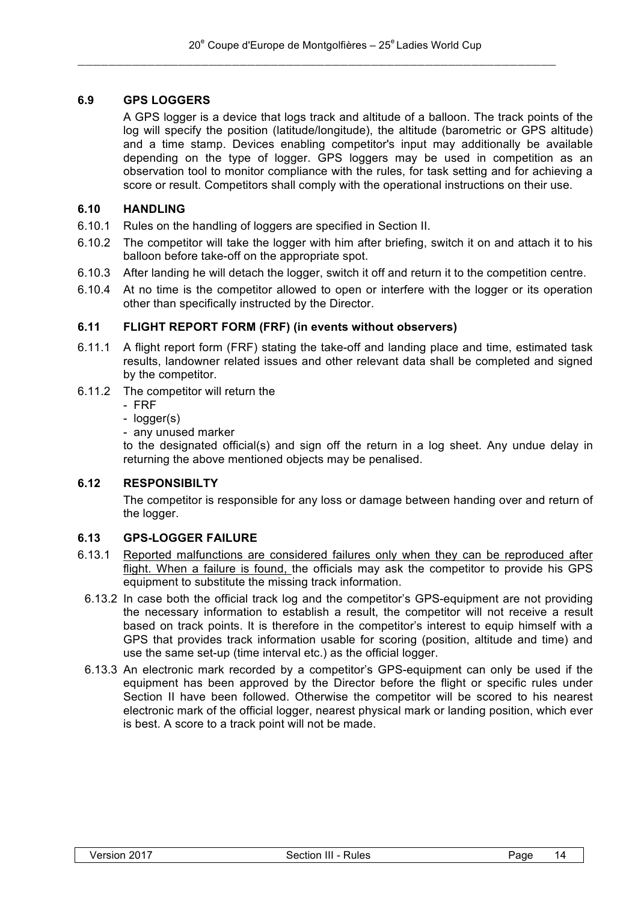# **6.9 GPS LOGGERS**

A GPS logger is a device that logs track and altitude of a balloon. The track points of the log will specify the position (latitude/longitude), the altitude (barometric or GPS altitude) and a time stamp. Devices enabling competitor's input may additionally be available depending on the type of logger. GPS loggers may be used in competition as an observation tool to monitor compliance with the rules, for task setting and for achieving a score or result. Competitors shall comply with the operational instructions on their use.

# **6.10 HANDLING**

- 6.10.1 Rules on the handling of loggers are specified in Section II.
- 6.10.2 The competitor will take the logger with him after briefing, switch it on and attach it to his balloon before take-off on the appropriate spot.
- 6.10.3 After landing he will detach the logger, switch it off and return it to the competition centre.
- 6.10.4 At no time is the competitor allowed to open or interfere with the logger or its operation other than specifically instructed by the Director.

# **6.11 FLIGHT REPORT FORM (FRF) (in events without observers)**

- 6.11.1 A flight report form (FRF) stating the take-off and landing place and time, estimated task results, landowner related issues and other relevant data shall be completed and signed by the competitor.
- 6.11.2 The competitor will return the
	- FRF
	- logger(s)
	- any unused marker

to the designated official(s) and sign off the return in a log sheet. Any undue delay in returning the above mentioned objects may be penalised.

#### **6.12 RESPONSIBILTY**

The competitor is responsible for any loss or damage between handing over and return of the logger.

# **6.13 GPS-LOGGER FAILURE**

- 6.13.1 Reported malfunctions are considered failures only when they can be reproduced after flight. When a failure is found, the officials may ask the competitor to provide his GPS equipment to substitute the missing track information.
- 6.13.2 In case both the official track log and the competitor's GPS-equipment are not providing the necessary information to establish a result, the competitor will not receive a result based on track points. It is therefore in the competitor's interest to equip himself with a GPS that provides track information usable for scoring (position, altitude and time) and use the same set-up (time interval etc.) as the official logger.
- 6.13.3 An electronic mark recorded by a competitor's GPS-equipment can only be used if the equipment has been approved by the Director before the flight or specific rules under Section II have been followed. Otherwise the competitor will be scored to his nearest electronic mark of the official logger, nearest physical mark or landing position, which ever is best. A score to a track point will not be made.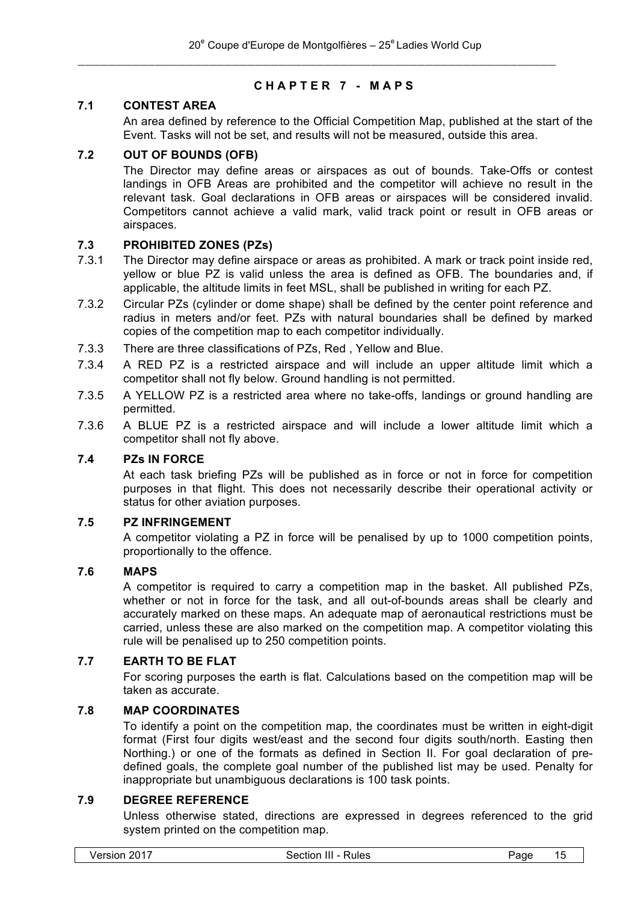# **CHAPTER 7 - MAPS**

# **7.1 CONTEST AREA**

An area defined by reference to the Official Competition Map, published at the start of the Event. Tasks will not be set, and results will not be measured, outside this area.

# **7.2 OUT OF BOUNDS (OFB)**

The Director may define areas or airspaces as out of bounds. Take-Offs or contest landings in OFB Areas are prohibited and the competitor will achieve no result in the relevant task. Goal declarations in OFB areas or airspaces will be considered invalid. Competitors cannot achieve a valid mark, valid track point or result in OFB areas or airspaces.

# **7.3 PROHIBITED ZONES (PZs)**

- 7.3.1 The Director may define airspace or areas as prohibited. A mark or track point inside red, yellow or blue PZ is valid unless the area is defined as OFB. The boundaries and, if applicable, the altitude limits in feet MSL, shall be published in writing for each PZ.
- 7.3.2 Circular PZs (cylinder or dome shape) shall be defined by the center point reference and radius in meters and/or feet. PZs with natural boundaries shall be defined by marked copies of the competition map to each competitor individually.
- 7.3.3 There are three classifications of PZs, Red , Yellow and Blue.
- 7.3.4 A RED PZ is a restricted airspace and will include an upper altitude limit which a competitor shall not fly below. Ground handling is not permitted.
- 7.3.5 A YELLOW PZ is a restricted area where no take-offs, landings or ground handling are permitted.
- 7.3.6 A BLUE PZ is a restricted airspace and will include a lower altitude limit which a competitor shall not fly above.

# **7.4 PZs IN FORCE**

At each task briefing PZs will be published as in force or not in force for competition purposes in that flight. This does not necessarily describe their operational activity or status for other aviation purposes.

# **7.5 PZ INFRINGEMENT**

A competitor violating a PZ in force will be penalised by up to 1000 competition points, proportionally to the offence.

### **7.6 MAPS**

A competitor is required to carry a competition map in the basket. All published PZs, whether or not in force for the task, and all out-of-bounds areas shall be clearly and accurately marked on these maps. An adequate map of aeronautical restrictions must be carried, unless these are also marked on the competition map. A competitor violating this rule will be penalised up to 250 competition points.

# **7.7 EARTH TO BE FLAT**

For scoring purposes the earth is flat. Calculations based on the competition map will be taken as accurate.

#### **7.8 MAP COORDINATES**

To identify a point on the competition map, the coordinates must be written in eight-digit format (First four digits west/east and the second four digits south/north. Easting then Northing.) or one of the formats as defined in Section II. For goal declaration of predefined goals, the complete goal number of the published list may be used. Penalty for inappropriate but unambiguous declarations is 100 task points.

#### **7.9 DEGREE REFERENCE**

Unless otherwise stated, directions are expressed in degrees referenced to the grid system printed on the competition map.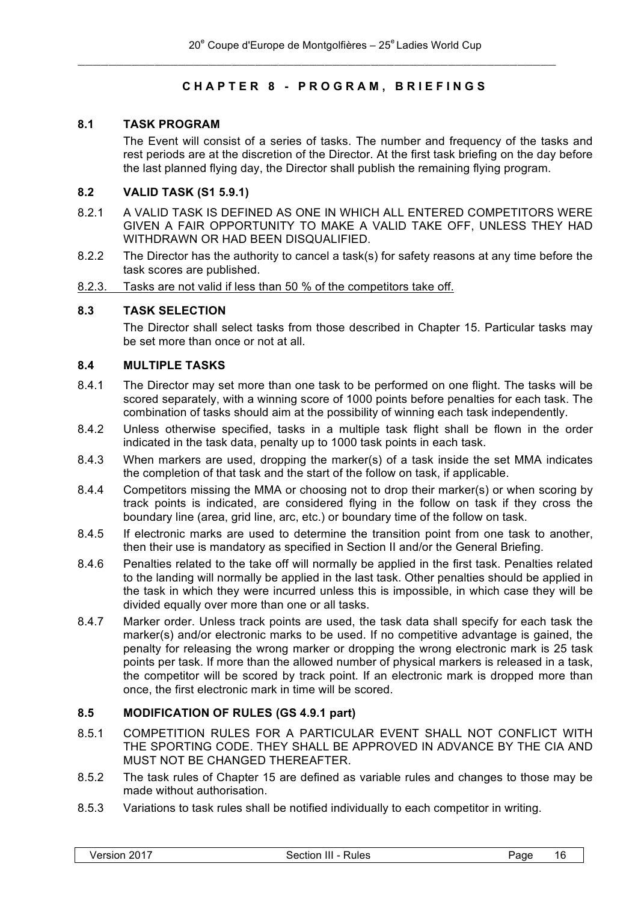# **CHAPTER 8 - PROGRAM , BRIEFINGS**

# **8.1 TASK PROGRAM**

The Event will consist of a series of tasks. The number and frequency of the tasks and rest periods are at the discretion of the Director. At the first task briefing on the day before the last planned flying day, the Director shall publish the remaining flying program.

# **8.2 VALID TASK (S1 5.9.1)**

- 8.2.1 A VALID TASK IS DEFINED AS ONE IN WHICH ALL ENTERED COMPETITORS WERE GIVEN A FAIR OPPORTUNITY TO MAKE A VALID TAKE OFF, UNLESS THEY HAD WITHDRAWN OR HAD BEEN DISQUALIFIED.
- 8.2.2 The Director has the authority to cancel a task(s) for safety reasons at any time before the task scores are published.
- 8.2.3. Tasks are not valid if less than 50 % of the competitors take off.

# **8.3 TASK SELECTION**

The Director shall select tasks from those described in Chapter 15. Particular tasks may be set more than once or not at all.

#### **8.4 MULTIPLE TASKS**

- 8.4.1 The Director may set more than one task to be performed on one flight. The tasks will be scored separately, with a winning score of 1000 points before penalties for each task. The combination of tasks should aim at the possibility of winning each task independently.
- 8.4.2 Unless otherwise specified, tasks in a multiple task flight shall be flown in the order indicated in the task data, penalty up to 1000 task points in each task.
- 8.4.3 When markers are used, dropping the marker(s) of a task inside the set MMA indicates the completion of that task and the start of the follow on task, if applicable.
- 8.4.4 Competitors missing the MMA or choosing not to drop their marker(s) or when scoring by track points is indicated, are considered flying in the follow on task if they cross the boundary line (area, grid line, arc, etc.) or boundary time of the follow on task.
- 8.4.5 If electronic marks are used to determine the transition point from one task to another, then their use is mandatory as specified in Section II and/or the General Briefing.
- 8.4.6 Penalties related to the take off will normally be applied in the first task. Penalties related to the landing will normally be applied in the last task. Other penalties should be applied in the task in which they were incurred unless this is impossible, in which case they will be divided equally over more than one or all tasks.
- 8.4.7 Marker order. Unless track points are used, the task data shall specify for each task the marker(s) and/or electronic marks to be used. If no competitive advantage is gained, the penalty for releasing the wrong marker or dropping the wrong electronic mark is 25 task points per task. If more than the allowed number of physical markers is released in a task, the competitor will be scored by track point. If an electronic mark is dropped more than once, the first electronic mark in time will be scored.

# **8.5 MODIFICATION OF RULES (GS 4.9.1 part)**

- 8.5.1 COMPETITION RULES FOR A PARTICULAR EVENT SHALL NOT CONFLICT WITH THE SPORTING CODE. THEY SHALL BE APPROVED IN ADVANCE BY THE CIA AND MUST NOT BE CHANGED THEREAFTER.
- 8.5.2 The task rules of Chapter 15 are defined as variable rules and changes to those may be made without authorisation.
- 8.5.3 Variations to task rules shall be notified individually to each competitor in writing.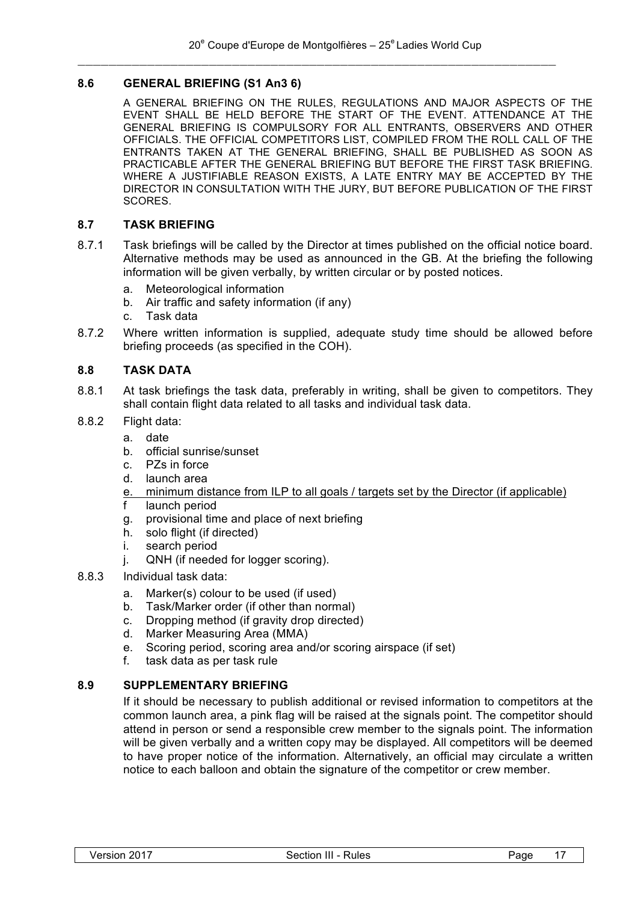# **8.6 GENERAL BRIEFING (S1 An3 6)**

A GENERAL BRIEFING ON THE RULES, REGULATIONS AND MAJOR ASPECTS OF THE EVENT SHALL BE HELD BEFORE THE START OF THE EVENT. ATTENDANCE AT THE GENERAL BRIEFING IS COMPULSORY FOR ALL ENTRANTS, OBSERVERS AND OTHER OFFICIALS. THE OFFICIAL COMPETITORS LIST, COMPILED FROM THE ROLL CALL OF THE ENTRANTS TAKEN AT THE GENERAL BRIEFING, SHALL BE PUBLISHED AS SOON AS PRACTICABLE AFTER THE GENERAL BRIEFING BUT BEFORE THE FIRST TASK BRIEFING. WHERE A JUSTIFIABLE REASON EXISTS, A LATE ENTRY MAY BE ACCEPTED BY THE DIRECTOR IN CONSULTATION WITH THE JURY, BUT BEFORE PUBLICATION OF THE FIRST SCORES.

#### **8.7 TASK BRIEFING**

- 8.7.1 Task briefings will be called by the Director at times published on the official notice board. Alternative methods may be used as announced in the GB. At the briefing the following information will be given verbally, by written circular or by posted notices.
	- a. Meteorological information
	- b. Air traffic and safety information (if any)
	- c. Task data
- 8.7.2 Where written information is supplied, adequate study time should be allowed before briefing proceeds (as specified in the COH).

#### **8.8 TASK DATA**

- 8.8.1 At task briefings the task data, preferably in writing, shall be given to competitors. They shall contain flight data related to all tasks and individual task data.
- 8.8.2 Flight data:
	- a. date
	- b. official sunrise/sunset
	- c. PZs in force
	- d. launch area
	- e. minimum distance from ILP to all goals / targets set by the Director (if applicable)
	- f launch period
	- g. provisional time and place of next briefing
	- h. solo flight (if directed)
	- i. search period
	- j. QNH (if needed for logger scoring).
- 8.8.3 Individual task data:
	- a. Marker(s) colour to be used (if used)
	- b. Task/Marker order (if other than normal)
	- c. Dropping method (if gravity drop directed)
	- d. Marker Measuring Area (MMA)
	- e. Scoring period, scoring area and/or scoring airspace (if set)
	- f. task data as per task rule

# **8.9 SUPPLEMENTARY BRIEFING**

If it should be necessary to publish additional or revised information to competitors at the common launch area, a pink flag will be raised at the signals point. The competitor should attend in person or send a responsible crew member to the signals point. The information will be given verbally and a written copy may be displayed. All competitors will be deemed to have proper notice of the information. Alternatively, an official may circulate a written notice to each balloon and obtain the signature of the competitor or crew member.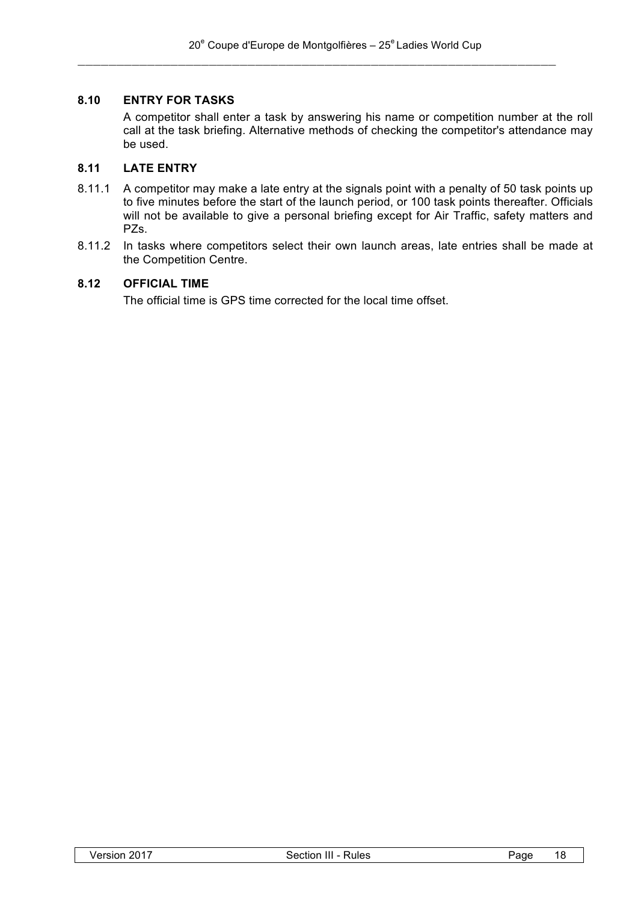# **8.10 ENTRY FOR TASKS**

A competitor shall enter a task by answering his name or competition number at the roll call at the task briefing. Alternative methods of checking the competitor's attendance may be used.

#### **8.11 LATE ENTRY**

- 8.11.1 A competitor may make a late entry at the signals point with a penalty of 50 task points up to five minutes before the start of the launch period, or 100 task points thereafter. Officials will not be available to give a personal briefing except for Air Traffic, safety matters and PZs.
- 8.11.2 In tasks where competitors select their own launch areas, late entries shall be made at the Competition Centre.

#### **8.12 OFFICIAL TIME**

The official time is GPS time corrected for the local time offset.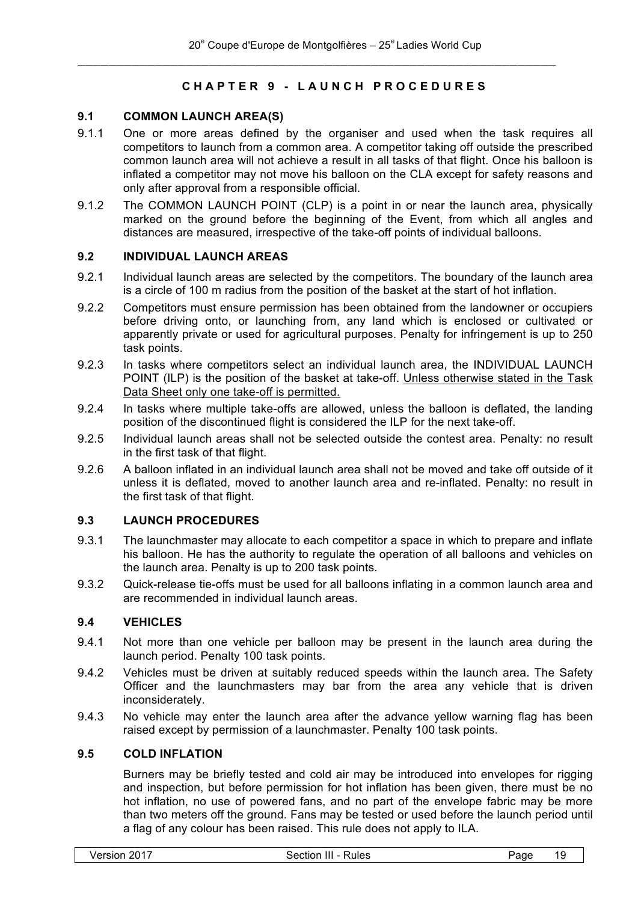# **CHAPTER 9 - LAUNCH PROCEDURES**

# **9.1 COMMON LAUNCH AREA(S)**

- 9.1.1 One or more areas defined by the organiser and used when the task requires all competitors to launch from a common area. A competitor taking off outside the prescribed common launch area will not achieve a result in all tasks of that flight. Once his balloon is inflated a competitor may not move his balloon on the CLA except for safety reasons and only after approval from a responsible official.
- 9.1.2 The COMMON LAUNCH POINT (CLP) is a point in or near the launch area, physically marked on the ground before the beginning of the Event, from which all angles and distances are measured, irrespective of the take-off points of individual balloons.

#### **9.2 INDIVIDUAL LAUNCH AREAS**

- 9.2.1 Individual launch areas are selected by the competitors. The boundary of the launch area is a circle of 100 m radius from the position of the basket at the start of hot inflation.
- 9.2.2 Competitors must ensure permission has been obtained from the landowner or occupiers before driving onto, or launching from, any land which is enclosed or cultivated or apparently private or used for agricultural purposes. Penalty for infringement is up to 250 task points.
- 9.2.3 In tasks where competitors select an individual launch area, the INDIVIDUAL LAUNCH POINT (ILP) is the position of the basket at take-off. Unless otherwise stated in the Task Data Sheet only one take-off is permitted.
- 9.2.4 In tasks where multiple take-offs are allowed, unless the balloon is deflated, the landing position of the discontinued flight is considered the ILP for the next take-off.
- 9.2.5 Individual launch areas shall not be selected outside the contest area. Penalty: no result in the first task of that flight.
- 9.2.6 A balloon inflated in an individual launch area shall not be moved and take off outside of it unless it is deflated, moved to another launch area and re-inflated. Penalty: no result in the first task of that flight.

# **9.3 LAUNCH PROCEDURES**

- 9.3.1 The launchmaster may allocate to each competitor a space in which to prepare and inflate his balloon. He has the authority to regulate the operation of all balloons and vehicles on the launch area. Penalty is up to 200 task points.
- 9.3.2 Quick-release tie-offs must be used for all balloons inflating in a common launch area and are recommended in individual launch areas.

# **9.4 VEHICLES**

- 9.4.1 Not more than one vehicle per balloon may be present in the launch area during the launch period. Penalty 100 task points.
- 9.4.2 Vehicles must be driven at suitably reduced speeds within the launch area. The Safety Officer and the launchmasters may bar from the area any vehicle that is driven inconsiderately.
- 9.4.3 No vehicle may enter the launch area after the advance yellow warning flag has been raised except by permission of a launchmaster. Penalty 100 task points.

### **9.5 COLD INFLATION**

Burners may be briefly tested and cold air may be introduced into envelopes for rigging and inspection, but before permission for hot inflation has been given, there must be no hot inflation, no use of powered fans, and no part of the envelope fabric may be more than two meters off the ground. Fans may be tested or used before the launch period until a flag of any colour has been raised. This rule does not apply to ILA.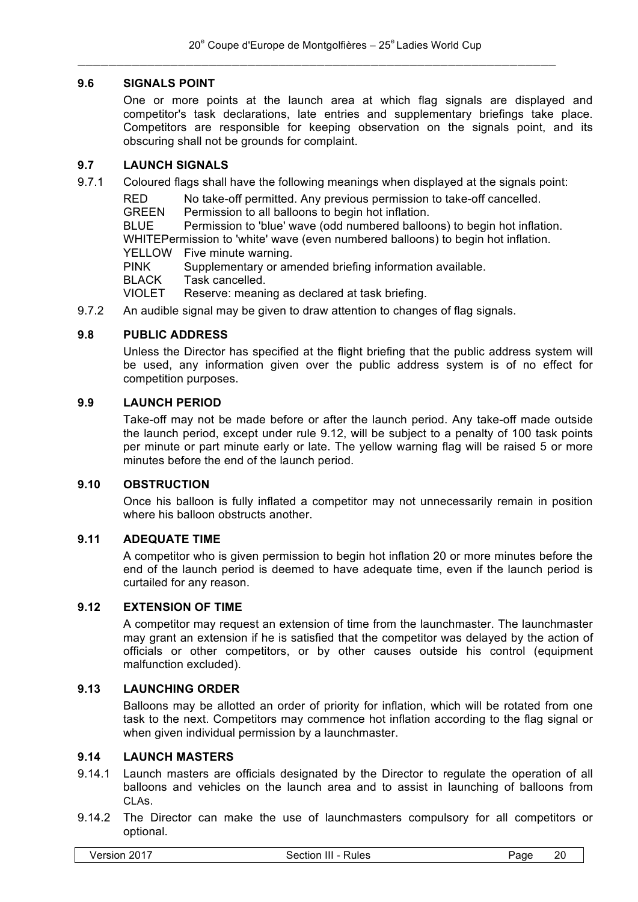# **9.6 SIGNALS POINT**

One or more points at the launch area at which flag signals are displayed and competitor's task declarations, late entries and supplementary briefings take place. Competitors are responsible for keeping observation on the signals point, and its obscuring shall not be grounds for complaint.

#### **9.7 LAUNCH SIGNALS**

9.7.1 Coloured flags shall have the following meanings when displayed at the signals point:

RED No take-off permitted. Any previous permission to take-off cancelled.

GREEN Permission to all balloons to begin hot inflation.

BLUE Permission to 'blue' wave (odd numbered balloons) to begin hot inflation. WHITEPermission to 'white' wave (even numbered balloons) to begin hot inflation.

YELLOW Five minute warning.

PINK Supplementary or amended briefing information available.

BLACK Task cancelled.

VIOLET Reserve: meaning as declared at task briefing.

9.7.2 An audible signal may be given to draw attention to changes of flag signals.

# **9.8 PUBLIC ADDRESS**

Unless the Director has specified at the flight briefing that the public address system will be used, any information given over the public address system is of no effect for competition purposes.

#### **9.9 LAUNCH PERIOD**

Take-off may not be made before or after the launch period. Any take-off made outside the launch period, except under rule 9.12, will be subject to a penalty of 100 task points per minute or part minute early or late. The yellow warning flag will be raised 5 or more minutes before the end of the launch period.

#### **9.10 OBSTRUCTION**

Once his balloon is fully inflated a competitor may not unnecessarily remain in position where his balloon obstructs another.

#### **9.11 ADEQUATE TIME**

A competitor who is given permission to begin hot inflation 20 or more minutes before the end of the launch period is deemed to have adequate time, even if the launch period is curtailed for any reason.

# **9.12 EXTENSION OF TIME**

A competitor may request an extension of time from the launchmaster. The launchmaster may grant an extension if he is satisfied that the competitor was delayed by the action of officials or other competitors, or by other causes outside his control (equipment malfunction excluded).

#### **9.13 LAUNCHING ORDER**

Balloons may be allotted an order of priority for inflation, which will be rotated from one task to the next. Competitors may commence hot inflation according to the flag signal or when given individual permission by a launchmaster.

# **9.14 LAUNCH MASTERS**

- 9.14.1 Launch masters are officials designated by the Director to regulate the operation of all balloons and vehicles on the launch area and to assist in launching of balloons from CLAs.
- 9.14.2 The Director can make the use of launchmasters compulsory for all competitors or optional.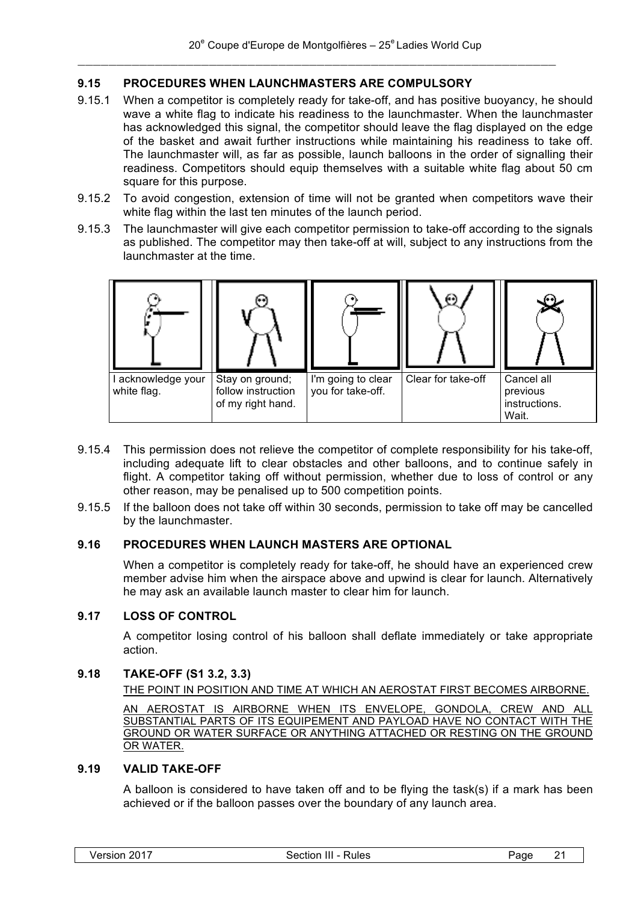# **9.15 PROCEDURES WHEN LAUNCHMASTERS ARE COMPULSORY**

- 9.15.1 When a competitor is completely ready for take-off, and has positive buoyancy, he should wave a white flag to indicate his readiness to the launchmaster. When the launchmaster has acknowledged this signal, the competitor should leave the flag displayed on the edge of the basket and await further instructions while maintaining his readiness to take off. The launchmaster will, as far as possible, launch balloons in the order of signalling their readiness. Competitors should equip themselves with a suitable white flag about 50 cm square for this purpose.
- 9.15.2 To avoid congestion, extension of time will not be granted when competitors wave their white flag within the last ten minutes of the launch period.
- 9.15.3 The launchmaster will give each competitor permission to take-off according to the signals as published. The competitor may then take-off at will, subject to any instructions from the launchmaster at the time.



- 9.15.4 This permission does not relieve the competitor of complete responsibility for his take-off, including adequate lift to clear obstacles and other balloons, and to continue safely in flight. A competitor taking off without permission, whether due to loss of control or any other reason, may be penalised up to 500 competition points.
- 9.15.5 If the balloon does not take off within 30 seconds, permission to take off may be cancelled by the launchmaster.

# **9.16 PROCEDURES WHEN LAUNCH MASTERS ARE OPTIONAL**

When a competitor is completely ready for take-off, he should have an experienced crew member advise him when the airspace above and upwind is clear for launch. Alternatively he may ask an available launch master to clear him for launch.

# **9.17 LOSS OF CONTROL**

A competitor losing control of his balloon shall deflate immediately or take appropriate action.

#### **9.18 TAKE-OFF (S1 3.2, 3.3)**

THE POINT IN POSITION AND TIME AT WHICH AN AEROSTAT FIRST BECOMES AIRBORNE.

AN AEROSTAT IS AIRBORNE WHEN ITS ENVELOPE, GONDOLA, CREW AND ALL SUBSTANTIAL PARTS OF ITS EQUIPEMENT AND PAYLOAD HAVE NO CONTACT WITH THE GROUND OR WATER SURFACE OR ANYTHING ATTACHED OR RESTING ON THE GROUND OR WATER.

# **9.19 VALID TAKE-OFF**

A balloon is considered to have taken off and to be flying the task(s) if a mark has been achieved or if the balloon passes over the boundary of any launch area.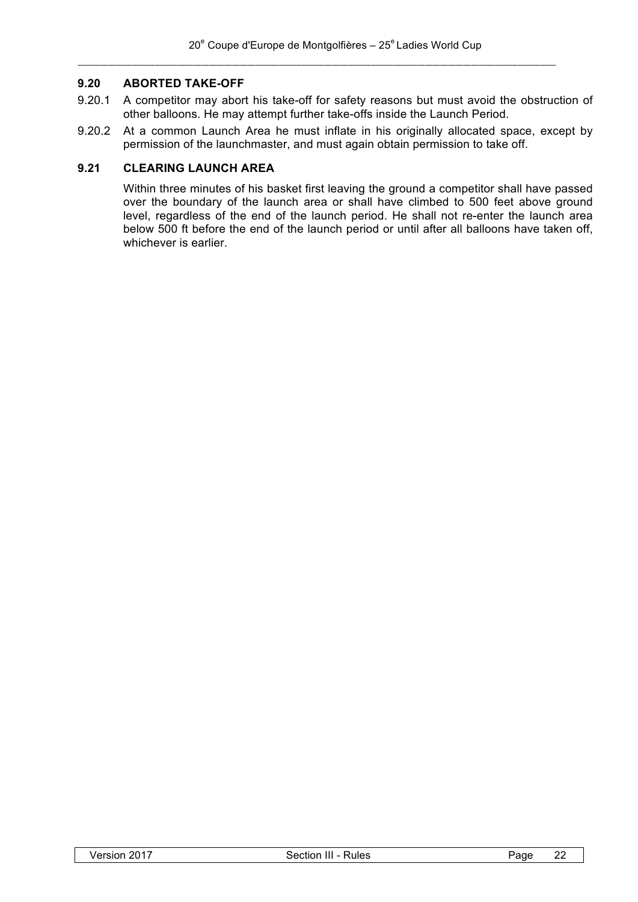# **9.20 ABORTED TAKE-OFF**

- 9.20.1 A competitor may abort his take-off for safety reasons but must avoid the obstruction of other balloons. He may attempt further take-offs inside the Launch Period.
- 9.20.2 At a common Launch Area he must inflate in his originally allocated space, except by permission of the launchmaster, and must again obtain permission to take off.

# **9.21 CLEARING LAUNCH AREA**

Within three minutes of his basket first leaving the ground a competitor shall have passed over the boundary of the launch area or shall have climbed to 500 feet above ground level, regardless of the end of the launch period. He shall not re-enter the launch area below 500 ft before the end of the launch period or until after all balloons have taken off, whichever is earlier.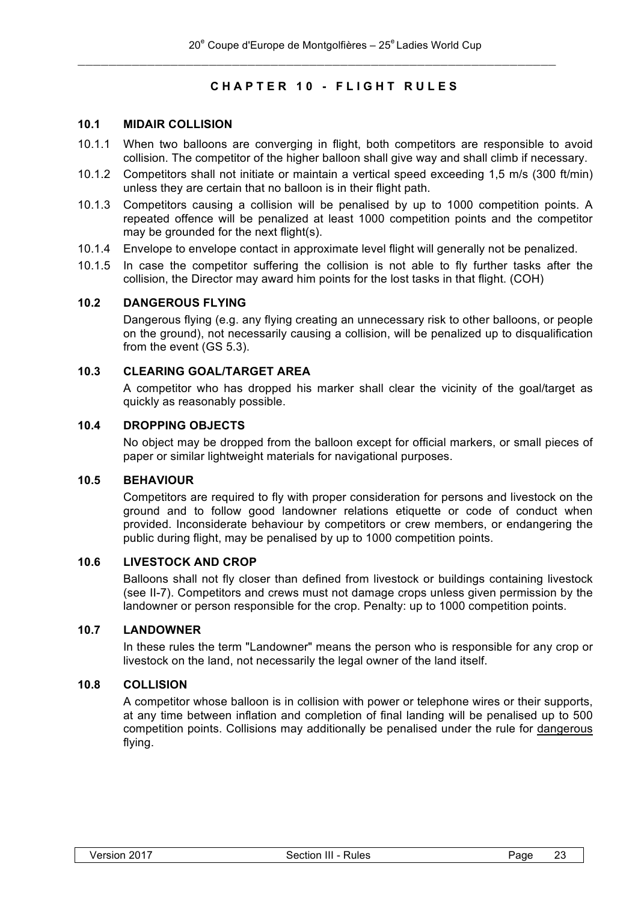# **CHAPTER 10 - FLIGHT RULES**

# **10.1 MIDAIR COLLISION**

- 10.1.1 When two balloons are converging in flight, both competitors are responsible to avoid collision. The competitor of the higher balloon shall give way and shall climb if necessary.
- 10.1.2 Competitors shall not initiate or maintain a vertical speed exceeding 1,5 m/s (300 ft/min) unless they are certain that no balloon is in their flight path.
- 10.1.3 Competitors causing a collision will be penalised by up to 1000 competition points. A repeated offence will be penalized at least 1000 competition points and the competitor may be grounded for the next flight(s).
- 10.1.4 Envelope to envelope contact in approximate level flight will generally not be penalized.
- 10.1.5 In case the competitor suffering the collision is not able to fly further tasks after the collision, the Director may award him points for the lost tasks in that flight. (COH)

#### **10.2 DANGEROUS FLYING**

Dangerous flying (e.g. any flying creating an unnecessary risk to other balloons, or people on the ground), not necessarily causing a collision, will be penalized up to disqualification from the event (GS 5.3).

# **10.3 CLEARING GOAL/TARGET AREA**

A competitor who has dropped his marker shall clear the vicinity of the goal/target as quickly as reasonably possible.

#### **10.4 DROPPING OBJECTS**

No object may be dropped from the balloon except for official markers, or small pieces of paper or similar lightweight materials for navigational purposes.

#### **10.5 BEHAVIOUR**

Competitors are required to fly with proper consideration for persons and livestock on the ground and to follow good landowner relations etiquette or code of conduct when provided. Inconsiderate behaviour by competitors or crew members, or endangering the public during flight, may be penalised by up to 1000 competition points.

#### **10.6 LIVESTOCK AND CROP**

Balloons shall not fly closer than defined from livestock or buildings containing livestock (see II-7). Competitors and crews must not damage crops unless given permission by the landowner or person responsible for the crop. Penalty: up to 1000 competition points.

# **10.7 LANDOWNER**

In these rules the term "Landowner" means the person who is responsible for any crop or livestock on the land, not necessarily the legal owner of the land itself.

# **10.8 COLLISION**

A competitor whose balloon is in collision with power or telephone wires or their supports, at any time between inflation and completion of final landing will be penalised up to 500 competition points. Collisions may additionally be penalised under the rule for dangerous flying.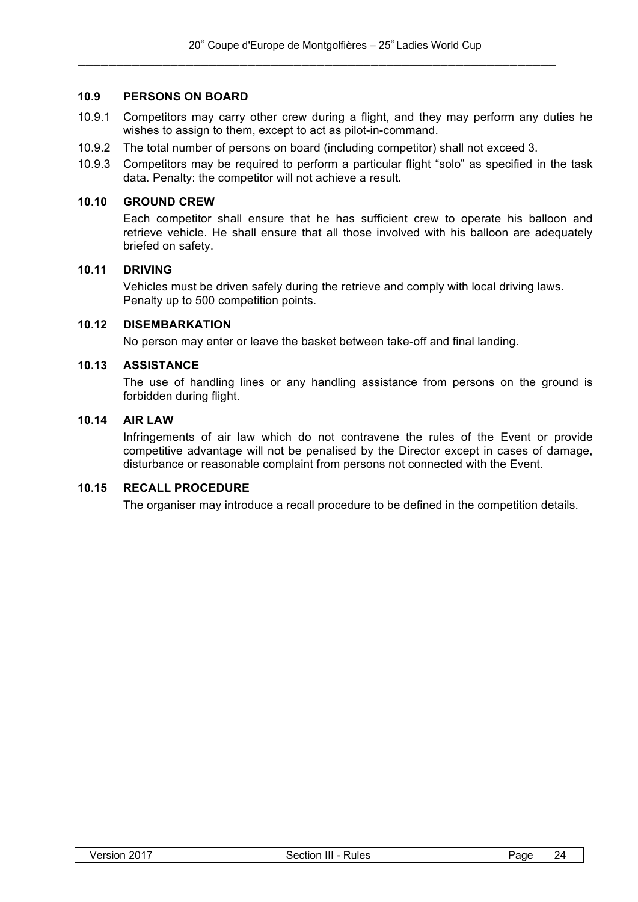#### **10.9 PERSONS ON BOARD**

- 10.9.1 Competitors may carry other crew during a flight, and they may perform any duties he wishes to assign to them, except to act as pilot-in-command.
- 10.9.2 The total number of persons on board (including competitor) shall not exceed 3.
- 10.9.3 Competitors may be required to perform a particular flight "solo" as specified in the task data. Penalty: the competitor will not achieve a result.

#### **10.10 GROUND CREW**

Each competitor shall ensure that he has sufficient crew to operate his balloon and retrieve vehicle. He shall ensure that all those involved with his balloon are adequately briefed on safety.

# **10.11 DRIVING**

Vehicles must be driven safely during the retrieve and comply with local driving laws. Penalty up to 500 competition points.

# **10.12 DISEMBARKATION**

No person may enter or leave the basket between take-off and final landing.

#### **10.13 ASSISTANCE**

The use of handling lines or any handling assistance from persons on the ground is forbidden during flight.

# **10.14 AIR LAW**

Infringements of air law which do not contravene the rules of the Event or provide competitive advantage will not be penalised by the Director except in cases of damage, disturbance or reasonable complaint from persons not connected with the Event.

# **10.15 RECALL PROCEDURE**

The organiser may introduce a recall procedure to be defined in the competition details.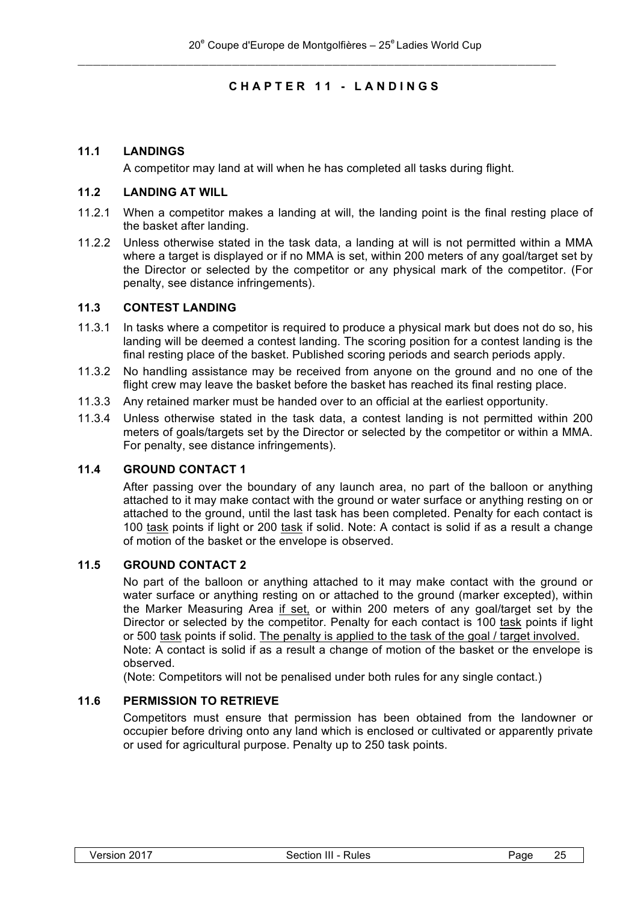# **CHAPTER 11 - LANDINGS**

# **11.1 LANDINGS**

A competitor may land at will when he has completed all tasks during flight.

#### **11.2 LANDING AT WILL**

- 11.2.1 When a competitor makes a landing at will, the landing point is the final resting place of the basket after landing.
- 11.2.2 Unless otherwise stated in the task data, a landing at will is not permitted within a MMA where a target is displayed or if no MMA is set, within 200 meters of any goal/target set by the Director or selected by the competitor or any physical mark of the competitor. (For penalty, see distance infringements).

#### **11.3 CONTEST LANDING**

- 11.3.1 In tasks where a competitor is required to produce a physical mark but does not do so, his landing will be deemed a contest landing. The scoring position for a contest landing is the final resting place of the basket. Published scoring periods and search periods apply.
- 11.3.2 No handling assistance may be received from anyone on the ground and no one of the flight crew may leave the basket before the basket has reached its final resting place.
- 11.3.3 Any retained marker must be handed over to an official at the earliest opportunity.
- 11.3.4 Unless otherwise stated in the task data, a contest landing is not permitted within 200 meters of goals/targets set by the Director or selected by the competitor or within a MMA. For penalty, see distance infringements).

# **11.4 GROUND CONTACT 1**

After passing over the boundary of any launch area, no part of the balloon or anything attached to it may make contact with the ground or water surface or anything resting on or attached to the ground, until the last task has been completed. Penalty for each contact is 100 task points if light or 200 task if solid. Note: A contact is solid if as a result a change of motion of the basket or the envelope is observed.

#### **11.5 GROUND CONTACT 2**

No part of the balloon or anything attached to it may make contact with the ground or water surface or anything resting on or attached to the ground (marker excepted), within the Marker Measuring Area if set, or within 200 meters of any goal/target set by the Director or selected by the competitor. Penalty for each contact is 100 task points if light or 500 task points if solid. The penalty is applied to the task of the goal / target involved. Note: A contact is solid if as a result a change of motion of the basket or the envelope is observed.

(Note: Competitors will not be penalised under both rules for any single contact.)

#### **11.6 PERMISSION TO RETRIEVE**

Competitors must ensure that permission has been obtained from the landowner or occupier before driving onto any land which is enclosed or cultivated or apparently private or used for agricultural purpose. Penalty up to 250 task points.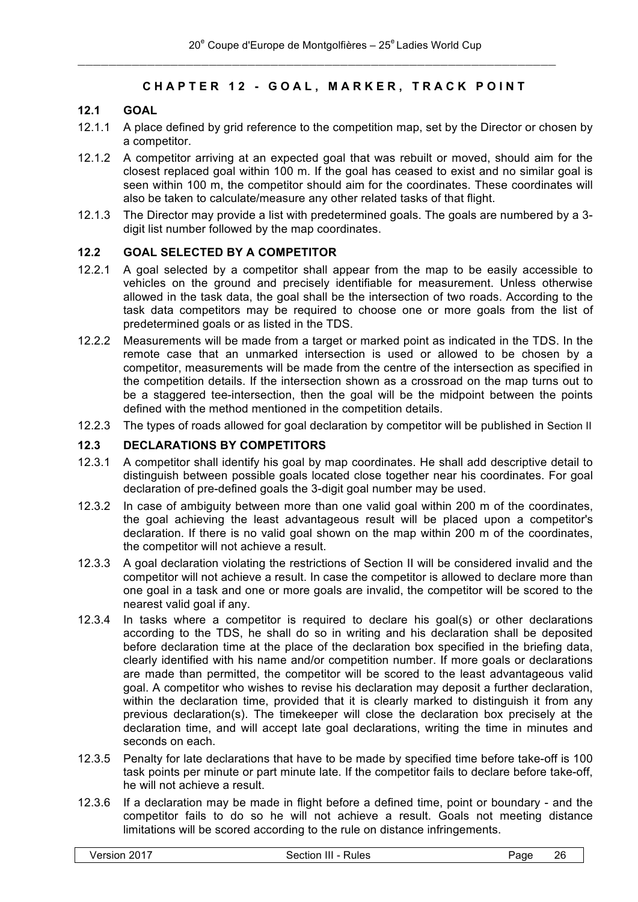# **CHAPTER 12 - GOAL, MARKER, TRACK POINT**

# **12.1 GOAL**

- 12.1.1 A place defined by grid reference to the competition map, set by the Director or chosen by a competitor.
- 12.1.2 A competitor arriving at an expected goal that was rebuilt or moved, should aim for the closest replaced goal within 100 m. If the goal has ceased to exist and no similar goal is seen within 100 m, the competitor should aim for the coordinates. These coordinates will also be taken to calculate/measure any other related tasks of that flight.
- 12.1.3 The Director may provide a list with predetermined goals. The goals are numbered by a 3 digit list number followed by the map coordinates.

#### **12.2 GOAL SELECTED BY A COMPETITOR**

- 12.2.1 A goal selected by a competitor shall appear from the map to be easily accessible to vehicles on the ground and precisely identifiable for measurement. Unless otherwise allowed in the task data, the goal shall be the intersection of two roads. According to the task data competitors may be required to choose one or more goals from the list of predetermined goals or as listed in the TDS.
- 12.2.2 Measurements will be made from a target or marked point as indicated in the TDS. In the remote case that an unmarked intersection is used or allowed to be chosen by a competitor, measurements will be made from the centre of the intersection as specified in the competition details. If the intersection shown as a crossroad on the map turns out to be a staggered tee-intersection, then the goal will be the midpoint between the points defined with the method mentioned in the competition details.
- 12.2.3 The types of roads allowed for goal declaration by competitor will be published in Section II

# **12.3 DECLARATIONS BY COMPETITORS**

- 12.3.1 A competitor shall identify his goal by map coordinates. He shall add descriptive detail to distinguish between possible goals located close together near his coordinates. For goal declaration of pre-defined goals the 3-digit goal number may be used.
- 12.3.2 In case of ambiguity between more than one valid goal within 200 m of the coordinates, the goal achieving the least advantageous result will be placed upon a competitor's declaration. If there is no valid goal shown on the map within 200 m of the coordinates, the competitor will not achieve a result.
- 12.3.3 A goal declaration violating the restrictions of Section II will be considered invalid and the competitor will not achieve a result. In case the competitor is allowed to declare more than one goal in a task and one or more goals are invalid, the competitor will be scored to the nearest valid goal if any.
- 12.3.4 In tasks where a competitor is required to declare his goal(s) or other declarations according to the TDS, he shall do so in writing and his declaration shall be deposited before declaration time at the place of the declaration box specified in the briefing data, clearly identified with his name and/or competition number. If more goals or declarations are made than permitted, the competitor will be scored to the least advantageous valid goal. A competitor who wishes to revise his declaration may deposit a further declaration, within the declaration time, provided that it is clearly marked to distinguish it from any previous declaration(s). The timekeeper will close the declaration box precisely at the declaration time, and will accept late goal declarations, writing the time in minutes and seconds on each.
- 12.3.5 Penalty for late declarations that have to be made by specified time before take-off is 100 task points per minute or part minute late. If the competitor fails to declare before take-off, he will not achieve a result.
- 12.3.6 If a declaration may be made in flight before a defined time, point or boundary and the competitor fails to do so he will not achieve a result. Goals not meeting distance limitations will be scored according to the rule on distance infringements.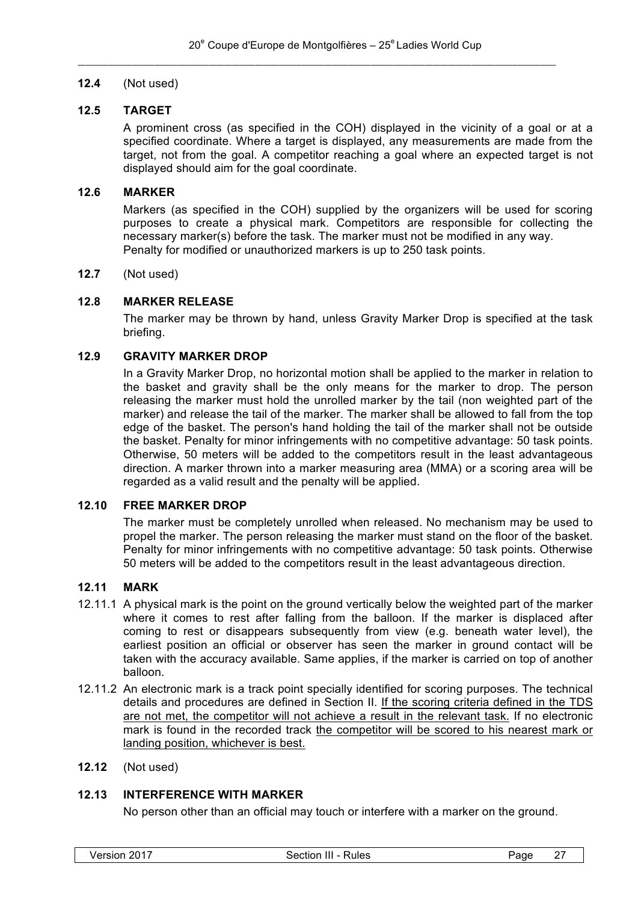# **12.4** (Not used)

#### **12.5 TARGET**

A prominent cross (as specified in the COH) displayed in the vicinity of a goal or at a specified coordinate. Where a target is displayed, any measurements are made from the target, not from the goal. A competitor reaching a goal where an expected target is not displayed should aim for the goal coordinate.

#### **12.6 MARKER**

Markers (as specified in the COH) supplied by the organizers will be used for scoring purposes to create a physical mark. Competitors are responsible for collecting the necessary marker(s) before the task. The marker must not be modified in any way. Penalty for modified or unauthorized markers is up to 250 task points.

#### **12.7** (Not used)

# **12.8 MARKER RELEASE**

The marker may be thrown by hand, unless Gravity Marker Drop is specified at the task briefing.

#### **12.9 GRAVITY MARKER DROP**

In a Gravity Marker Drop, no horizontal motion shall be applied to the marker in relation to the basket and gravity shall be the only means for the marker to drop. The person releasing the marker must hold the unrolled marker by the tail (non weighted part of the marker) and release the tail of the marker. The marker shall be allowed to fall from the top edge of the basket. The person's hand holding the tail of the marker shall not be outside the basket. Penalty for minor infringements with no competitive advantage: 50 task points. Otherwise, 50 meters will be added to the competitors result in the least advantageous direction. A marker thrown into a marker measuring area (MMA) or a scoring area will be regarded as a valid result and the penalty will be applied.

#### **12.10 FREE MARKER DROP**

The marker must be completely unrolled when released. No mechanism may be used to propel the marker. The person releasing the marker must stand on the floor of the basket. Penalty for minor infringements with no competitive advantage: 50 task points. Otherwise 50 meters will be added to the competitors result in the least advantageous direction.

#### **12.11 MARK**

- 12.11.1 A physical mark is the point on the ground vertically below the weighted part of the marker where it comes to rest after falling from the balloon. If the marker is displaced after coming to rest or disappears subsequently from view (e.g. beneath water level), the earliest position an official or observer has seen the marker in ground contact will be taken with the accuracy available. Same applies, if the marker is carried on top of another balloon.
- 12.11.2 An electronic mark is a track point specially identified for scoring purposes. The technical details and procedures are defined in Section II. If the scoring criteria defined in the TDS are not met, the competitor will not achieve a result in the relevant task. If no electronic mark is found in the recorded track the competitor will be scored to his nearest mark or landing position, whichever is best.
- **12.12** (Not used)

# **12.13 INTERFERENCE WITH MARKER**

No person other than an official may touch or interfere with a marker on the ground.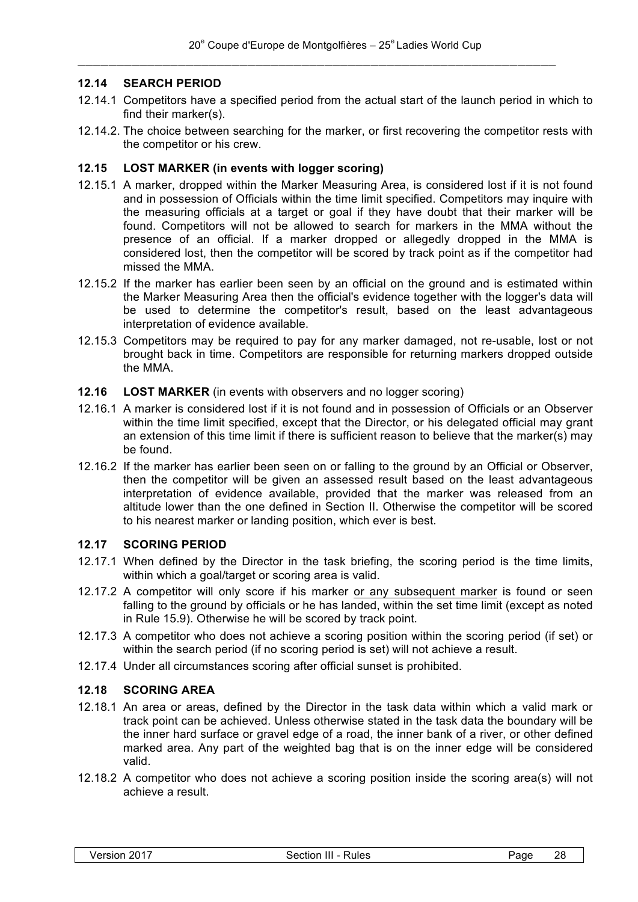# **12.14 SEARCH PERIOD**

- 12.14.1 Competitors have a specified period from the actual start of the launch period in which to find their marker(s).
- 12.14.2. The choice between searching for the marker, or first recovering the competitor rests with the competitor or his crew.

#### **12.15 LOST MARKER (in events with logger scoring)**

- 12.15.1 A marker, dropped within the Marker Measuring Area, is considered lost if it is not found and in possession of Officials within the time limit specified. Competitors may inquire with the measuring officials at a target or goal if they have doubt that their marker will be found. Competitors will not be allowed to search for markers in the MMA without the presence of an official. If a marker dropped or allegedly dropped in the MMA is considered lost, then the competitor will be scored by track point as if the competitor had missed the MMA.
- 12.15.2 If the marker has earlier been seen by an official on the ground and is estimated within the Marker Measuring Area then the official's evidence together with the logger's data will be used to determine the competitor's result, based on the least advantageous interpretation of evidence available.
- 12.15.3 Competitors may be required to pay for any marker damaged, not re-usable, lost or not brought back in time. Competitors are responsible for returning markers dropped outside the MMA.
- **12.16 LOST MARKER** (in events with observers and no logger scoring)
- 12.16.1 A marker is considered lost if it is not found and in possession of Officials or an Observer within the time limit specified, except that the Director, or his delegated official may grant an extension of this time limit if there is sufficient reason to believe that the marker(s) may be found.
- 12.16.2 If the marker has earlier been seen on or falling to the ground by an Official or Observer, then the competitor will be given an assessed result based on the least advantageous interpretation of evidence available, provided that the marker was released from an altitude lower than the one defined in Section II. Otherwise the competitor will be scored to his nearest marker or landing position, which ever is best.

#### **12.17 SCORING PERIOD**

- 12.17.1 When defined by the Director in the task briefing, the scoring period is the time limits, within which a goal/target or scoring area is valid.
- 12.17.2 A competitor will only score if his marker or any subsequent marker is found or seen falling to the ground by officials or he has landed, within the set time limit (except as noted in Rule 15.9). Otherwise he will be scored by track point.
- 12.17.3 A competitor who does not achieve a scoring position within the scoring period (if set) or within the search period (if no scoring period is set) will not achieve a result.
- 12.17.4 Under all circumstances scoring after official sunset is prohibited.

#### **12.18 SCORING AREA**

- 12.18.1 An area or areas, defined by the Director in the task data within which a valid mark or track point can be achieved. Unless otherwise stated in the task data the boundary will be the inner hard surface or gravel edge of a road, the inner bank of a river, or other defined marked area. Any part of the weighted bag that is on the inner edge will be considered valid.
- 12.18.2 A competitor who does not achieve a scoring position inside the scoring area(s) will not achieve a result.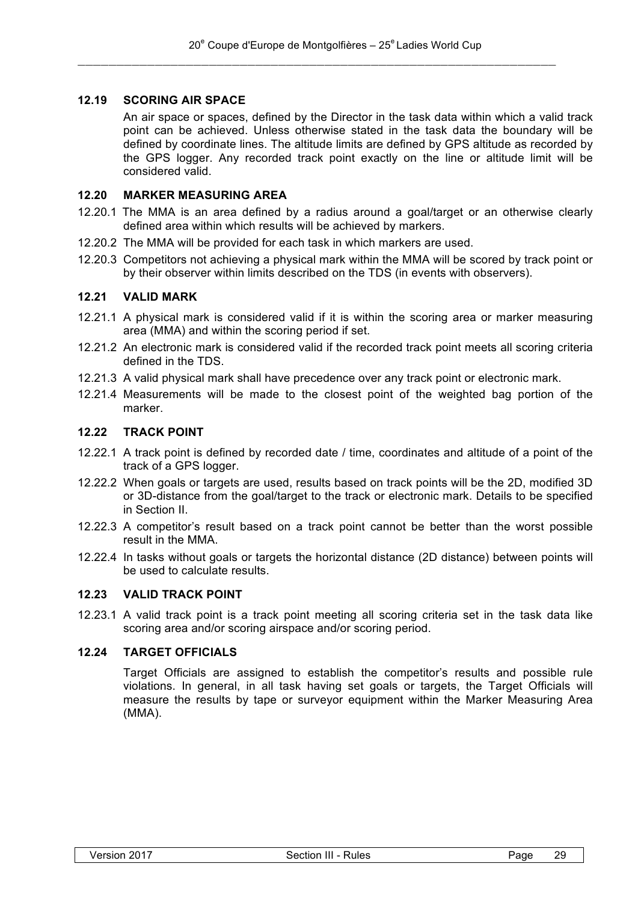# **12.19 SCORING AIR SPACE**

An air space or spaces, defined by the Director in the task data within which a valid track point can be achieved. Unless otherwise stated in the task data the boundary will be defined by coordinate lines. The altitude limits are defined by GPS altitude as recorded by the GPS logger. Any recorded track point exactly on the line or altitude limit will be considered valid.

# **12.20 MARKER MEASURING AREA**

- 12.20.1 The MMA is an area defined by a radius around a goal/target or an otherwise clearly defined area within which results will be achieved by markers.
- 12.20.2 The MMA will be provided for each task in which markers are used.
- 12.20.3 Competitors not achieving a physical mark within the MMA will be scored by track point or by their observer within limits described on the TDS (in events with observers).

#### **12.21 VALID MARK**

- 12.21.1 A physical mark is considered valid if it is within the scoring area or marker measuring area (MMA) and within the scoring period if set.
- 12.21.2 An electronic mark is considered valid if the recorded track point meets all scoring criteria defined in the TDS.
- 12.21.3 A valid physical mark shall have precedence over any track point or electronic mark.
- 12.21.4 Measurements will be made to the closest point of the weighted bag portion of the marker.

#### **12.22 TRACK POINT**

- 12.22.1 A track point is defined by recorded date / time, coordinates and altitude of a point of the track of a GPS logger.
- 12.22.2 When goals or targets are used, results based on track points will be the 2D, modified 3D or 3D-distance from the goal/target to the track or electronic mark. Details to be specified in Section II.
- 12.22.3 A competitor's result based on a track point cannot be better than the worst possible result in the MMA.
- 12.22.4 In tasks without goals or targets the horizontal distance (2D distance) between points will be used to calculate results.

# **12.23 VALID TRACK POINT**

12.23.1 A valid track point is a track point meeting all scoring criteria set in the task data like scoring area and/or scoring airspace and/or scoring period.

# **12.24 TARGET OFFICIALS**

Target Officials are assigned to establish the competitor's results and possible rule violations. In general, in all task having set goals or targets, the Target Officials will measure the results by tape or surveyor equipment within the Marker Measuring Area (MMA).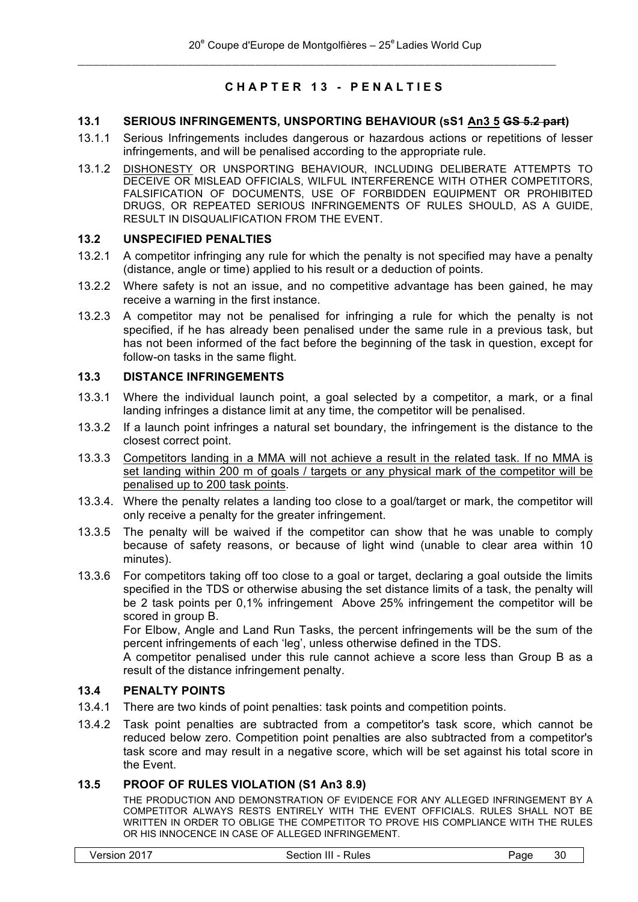# **CHAPTER 13 - PENALTIES**

# **13.1 SERIOUS INFRINGEMENTS, UNSPORTING BEHAVIOUR (sS1 An3 5 GS 5.2 part)**

 $\_$  , and the set of the set of the set of the set of the set of the set of the set of the set of the set of the set of the set of the set of the set of the set of the set of the set of the set of the set of the set of th

- 13.1.1 Serious Infringements includes dangerous or hazardous actions or repetitions of lesser infringements, and will be penalised according to the appropriate rule.
- 13.1.2 DISHONESTY OR UNSPORTING BEHAVIOUR, INCLUDING DELIBERATE ATTEMPTS TO DECEIVE OR MISLEAD OFFICIALS, WILFUL INTERFERENCE WITH OTHER COMPETITORS, FALSIFICATION OF DOCUMENTS, USE OF FORBIDDEN EQUIPMENT OR PROHIBITED DRUGS, OR REPEATED SERIOUS INFRINGEMENTS OF RULES SHOULD, AS A GUIDE, RESULT IN DISQUALIFICATION FROM THE EVENT.

#### **13.2 UNSPECIFIED PENALTIES**

- 13.2.1 A competitor infringing any rule for which the penalty is not specified may have a penalty (distance, angle or time) applied to his result or a deduction of points.
- 13.2.2 Where safety is not an issue, and no competitive advantage has been gained, he may receive a warning in the first instance.
- 13.2.3 A competitor may not be penalised for infringing a rule for which the penalty is not specified, if he has already been penalised under the same rule in a previous task, but has not been informed of the fact before the beginning of the task in question, except for follow-on tasks in the same flight.

#### **13.3 DISTANCE INFRINGEMENTS**

- 13.3.1 Where the individual launch point, a goal selected by a competitor, a mark, or a final landing infringes a distance limit at any time, the competitor will be penalised.
- 13.3.2 If a launch point infringes a natural set boundary, the infringement is the distance to the closest correct point.
- 13.3.3 Competitors landing in a MMA will not achieve a result in the related task. If no MMA is set landing within 200 m of goals / targets or any physical mark of the competitor will be penalised up to 200 task points.
- 13.3.4. Where the penalty relates a landing too close to a goal/target or mark, the competitor will only receive a penalty for the greater infringement.
- 13.3.5 The penalty will be waived if the competitor can show that he was unable to comply because of safety reasons, or because of light wind (unable to clear area within 10 minutes).
- 13.3.6 For competitors taking off too close to a goal or target, declaring a goal outside the limits specified in the TDS or otherwise abusing the set distance limits of a task, the penalty will be 2 task points per 0,1% infringement Above 25% infringement the competitor will be scored in group B.

For Elbow, Angle and Land Run Tasks, the percent infringements will be the sum of the percent infringements of each 'leg', unless otherwise defined in the TDS.

A competitor penalised under this rule cannot achieve a score less than Group B as a result of the distance infringement penalty.

# **13.4 PENALTY POINTS**

- 13.4.1 There are two kinds of point penalties: task points and competition points.
- 13.4.2 Task point penalties are subtracted from a competitor's task score, which cannot be reduced below zero. Competition point penalties are also subtracted from a competitor's task score and may result in a negative score, which will be set against his total score in the Event.

# **13.5 PROOF OF RULES VIOLATION (S1 An3 8.9)**

THE PRODUCTION AND DEMONSTRATION OF EVIDENCE FOR ANY ALLEGED INFRINGEMENT BY A COMPETITOR ALWAYS RESTS ENTIRELY WITH THE EVENT OFFICIALS. RULES SHALL NOT BE WRITTEN IN ORDER TO OBLIGE THE COMPETITOR TO PROVE HIS COMPLIANCE WITH THE RULES OR HIS INNOCENCE IN CASE OF ALLEGED INFRINGEMENT.

|  | Version 2017 |  |  |
|--|--------------|--|--|
|--|--------------|--|--|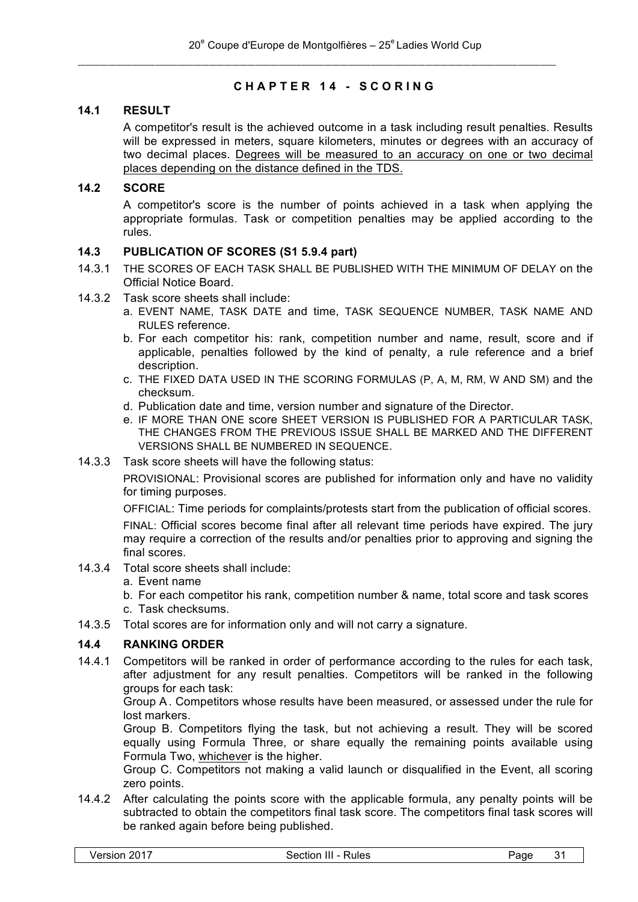# **CHAPTER 14 - SCORING**

# **14.1 RESULT**

A competitor's result is the achieved outcome in a task including result penalties. Results will be expressed in meters, square kilometers, minutes or degrees with an accuracy of two decimal places. Degrees will be measured to an accuracy on one or two decimal places depending on the distance defined in the TDS.

#### **14.2 SCORE**

A competitor's score is the number of points achieved in a task when applying the appropriate formulas. Task or competition penalties may be applied according to the rules.

# **14.3 PUBLICATION OF SCORES (S1 5.9.4 part)**

- 14.3.1 THE SCORES OF EACH TASK SHALL BE PUBLISHED WITH THE MINIMUM OF DELAY on the Official Notice Board.
- 14.3.2 Task score sheets shall include:
	- a. EVENT NAME, TASK DATE and time, TASK SEQUENCE NUMBER, TASK NAME AND RULES reference.
	- b. For each competitor his: rank, competition number and name, result, score and if applicable, penalties followed by the kind of penalty, a rule reference and a brief description.
	- c. THE FIXED DATA USED IN THE SCORING FORMULAS (P, A, M, RM, W AND SM) and the checksum.
	- d. Publication date and time, version number and signature of the Director.
	- e. IF MORE THAN ONE score SHEET VERSION IS PUBLISHED FOR A PARTICULAR TASK, THE CHANGES FROM THE PREVIOUS ISSUE SHALL BE MARKED AND THE DIFFERENT VERSIONS SHALL BE NUMBERED IN SEQUENCE.
- 14.3.3 Task score sheets will have the following status:

PROVISIONAL: Provisional scores are published for information only and have no validity for timing purposes.

OFFICIAL: Time periods for complaints/protests start from the publication of official scores.

FINAL: Official scores become final after all relevant time periods have expired. The jury may require a correction of the results and/or penalties prior to approving and signing the final scores.

- 14.3.4 Total score sheets shall include:
	- a. Event name

b. For each competitor his rank, competition number & name, total score and task scores

- c. Task checksums.
- 14.3.5 Total scores are for information only and will not carry a signature.

# **14.4 RANKING ORDER**

14.4.1 Competitors will be ranked in order of performance according to the rules for each task, after adjustment for any result penalties. Competitors will be ranked in the following groups for each task:

Group A. Competitors whose results have been measured, or assessed under the rule for lost markers.

Group B. Competitors flying the task, but not achieving a result. They will be scored equally using Formula Three, or share equally the remaining points available using Formula Two, whichever is the higher.

Group C. Competitors not making a valid launch or disqualified in the Event, all scoring zero points.

14.4.2 After calculating the points score with the applicable formula, any penalty points will be subtracted to obtain the competitors final task score. The competitors final task scores will be ranked again before being published.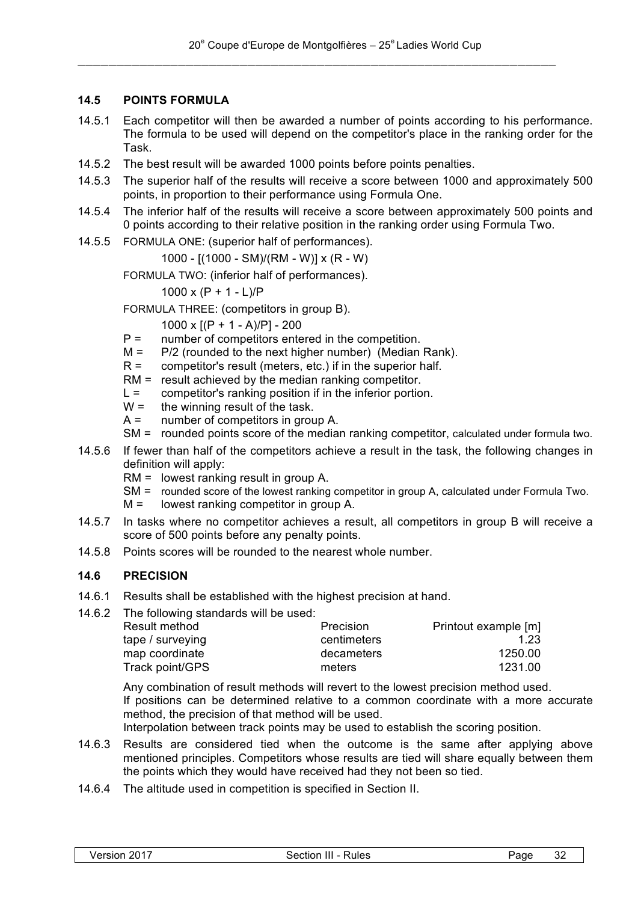# **14.5 POINTS FORMULA**

- 14.5.1 Each competitor will then be awarded a number of points according to his performance. The formula to be used will depend on the competitor's place in the ranking order for the Task.
- 14.5.2 The best result will be awarded 1000 points before points penalties.
- 14.5.3 The superior half of the results will receive a score between 1000 and approximately 500 points, in proportion to their performance using Formula One.
- 14.5.4 The inferior half of the results will receive a score between approximately 500 points and 0 points according to their relative position in the ranking order using Formula Two.
- 14.5.5 FORMULA ONE: (superior half of performances).

1000 - [(1000 - SM)/(RM - W)] x (R - W)

FORMULA TWO: (inferior half of performances).

1000 x  $(P + 1 - L)/P$ 

FORMULA THREE: (competitors in group B).

1000 x  $[(P + 1 - A)/P] - 200$ 

- P = number of competitors entered in the competition.
- $M =$  P/2 (rounded to the next higher number) (Median Rank).
- $R =$  competitor's result (meters, etc.) if in the superior half.
- RM = result achieved by the median ranking competitor.
- $L =$  competitor's ranking position if in the inferior portion.
- $W =$  the winning result of the task.<br>A = number of competitors in grou
- number of competitors in group A.
- SM = rounded points score of the median ranking competitor, calculated under formula two.
- 14.5.6 If fewer than half of the competitors achieve a result in the task, the following changes in definition will apply:
	- RM = lowest ranking result in group A.
	- SM = rounded score of the lowest ranking competitor in group A, calculated under Formula Two.
	- M = lowest ranking competitor in group A.
- 14.5.7 In tasks where no competitor achieves a result, all competitors in group B will receive a score of 500 points before any penalty points.
- 14.5.8 Points scores will be rounded to the nearest whole number.

# **14.6 PRECISION**

- 14.6.1 Results shall be established with the highest precision at hand.
- 14.6.2 The following standards will be used:

| Precision   | Printout example [m] |
|-------------|----------------------|
| centimeters | 1.23                 |
| decameters  | 1250.00              |
| meters      | 1231.00              |
|             |                      |

Any combination of result methods will revert to the lowest precision method used. If positions can be determined relative to a common coordinate with a more accurate method, the precision of that method will be used.

Interpolation between track points may be used to establish the scoring position.

- 14.6.3 Results are considered tied when the outcome is the same after applying above mentioned principles. Competitors whose results are tied will share equally between them the points which they would have received had they not been so tied.
- 14.6.4 The altitude used in competition is specified in Section II.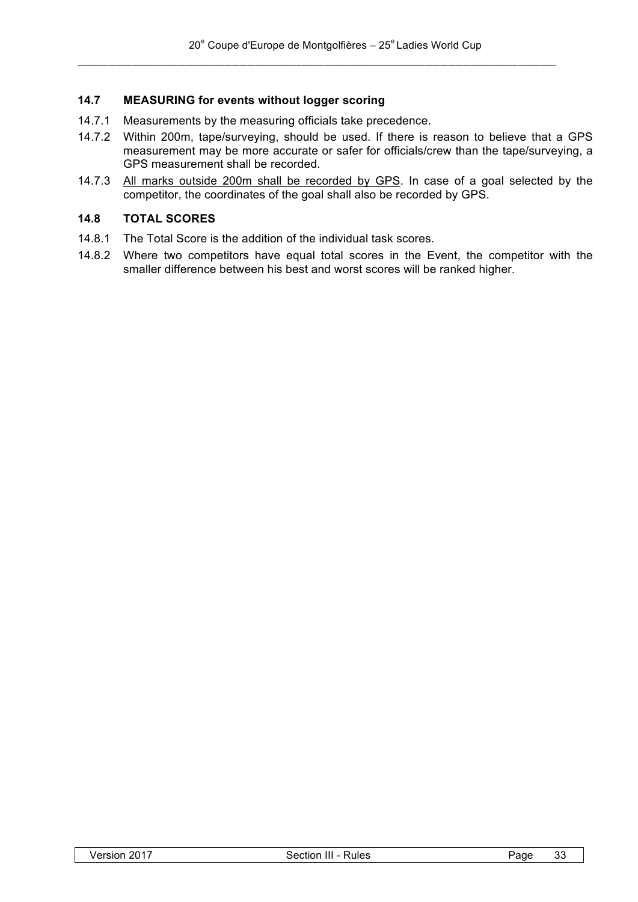# **14.7 MEASURING for events without logger scoring**

- 14.7.1 Measurements by the measuring officials take precedence.
- 14.7.2 Within 200m, tape/surveying, should be used. If there is reason to believe that a GPS measurement may be more accurate or safer for officials/crew than the tape/surveying, a GPS measurement shall be recorded.
- 14.7.3 All marks outside 200m shall be recorded by GPS. In case of a goal selected by the competitor, the coordinates of the goal shall also be recorded by GPS.

### **14.8 TOTAL SCORES**

- 14.8.1 The Total Score is the addition of the individual task scores.
- 14.8.2 Where two competitors have equal total scores in the Event, the competitor with the smaller difference between his best and worst scores will be ranked higher.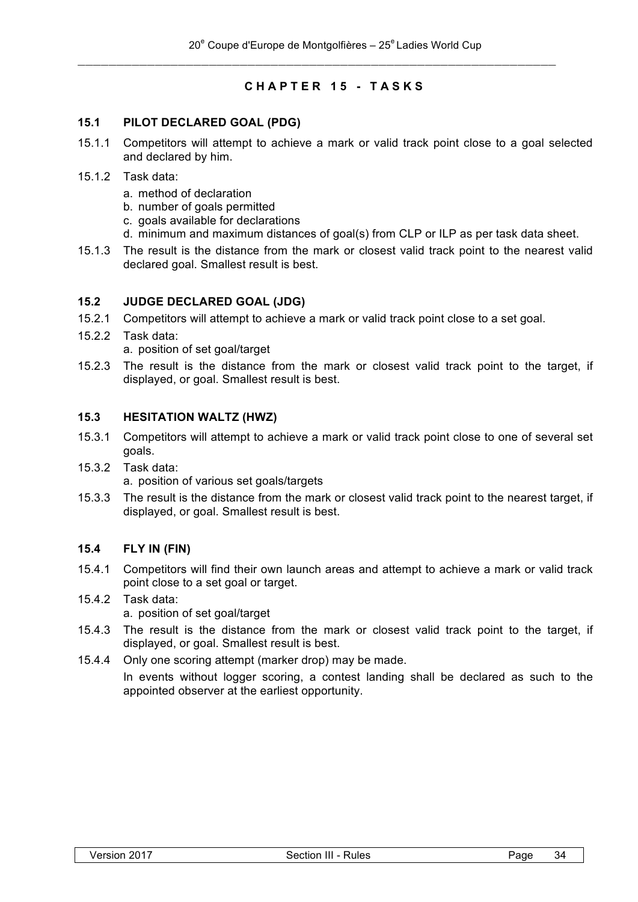# **CHAPTER 15 - TASKS**

#### **15.1 PILOT DECLARED GOAL (PDG)**

- 15.1.1 Competitors will attempt to achieve a mark or valid track point close to a goal selected and declared by him.
- 15.1.2 Task data:
	- a. method of declaration
	- b. number of goals permitted
	- c. goals available for declarations
	- d. minimum and maximum distances of goal(s) from CLP or ILP as per task data sheet.
- 15.1.3 The result is the distance from the mark or closest valid track point to the nearest valid declared goal. Smallest result is best.

#### **15.2 JUDGE DECLARED GOAL (JDG)**

- 15.2.1 Competitors will attempt to achieve a mark or valid track point close to a set goal.
- 15.2.2 Task data: a. position of set goal/target
- 15.2.3 The result is the distance from the mark or closest valid track point to the target, if displayed, or goal. Smallest result is best.

# **15.3 HESITATION WALTZ (HWZ)**

- 15.3.1 Competitors will attempt to achieve a mark or valid track point close to one of several set goals.
- 15.3.2 Task data: a. position of various set goals/targets
- 15.3.3 The result is the distance from the mark or closest valid track point to the nearest target, if displayed, or goal. Smallest result is best.

#### **15.4 FLY IN (FIN)**

- 15.4.1 Competitors will find their own launch areas and attempt to achieve a mark or valid track point close to a set goal or target.
- 15.4.2 Task data: a. position of set goal/target
- 15.4.3 The result is the distance from the mark or closest valid track point to the target, if displayed, or goal. Smallest result is best.
- 15.4.4 Only one scoring attempt (marker drop) may be made.

In events without logger scoring, a contest landing shall be declared as such to the appointed observer at the earliest opportunity.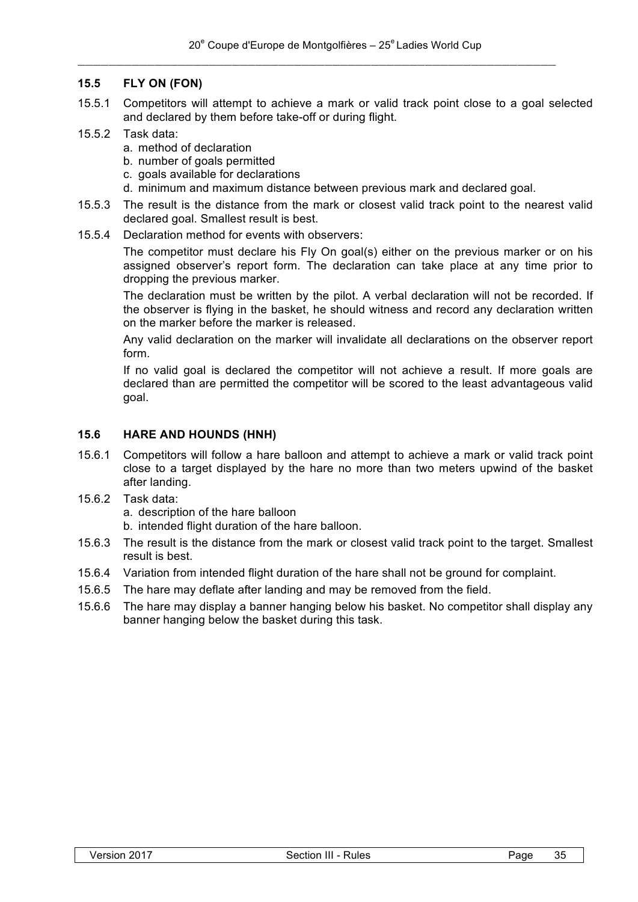#### **15.5 FLY ON (FON)**

- 15.5.1 Competitors will attempt to achieve a mark or valid track point close to a goal selected and declared by them before take-off or during flight.
- 15.5.2 Task data:
	- a. method of declaration
	- b. number of goals permitted
	- c. goals available for declarations
	- d. minimum and maximum distance between previous mark and declared goal.
- 15.5.3 The result is the distance from the mark or closest valid track point to the nearest valid declared goal. Smallest result is best.
- 15.5.4 Declaration method for events with observers:

The competitor must declare his Fly On goal(s) either on the previous marker or on his assigned observer's report form. The declaration can take place at any time prior to dropping the previous marker.

The declaration must be written by the pilot. A verbal declaration will not be recorded. If the observer is flying in the basket, he should witness and record any declaration written on the marker before the marker is released.

Any valid declaration on the marker will invalidate all declarations on the observer report form.

If no valid goal is declared the competitor will not achieve a result. If more goals are declared than are permitted the competitor will be scored to the least advantageous valid goal.

#### **15.6 HARE AND HOUNDS (HNH)**

- 15.6.1 Competitors will follow a hare balloon and attempt to achieve a mark or valid track point close to a target displayed by the hare no more than two meters upwind of the basket after landing.
- 15.6.2 Task data:

a. description of the hare balloon

b. intended flight duration of the hare balloon.

- 15.6.3 The result is the distance from the mark or closest valid track point to the target. Smallest result is best.
- 15.6.4 Variation from intended flight duration of the hare shall not be ground for complaint.
- 15.6.5 The hare may deflate after landing and may be removed from the field.
- 15.6.6 The hare may display a banner hanging below his basket. No competitor shall display any banner hanging below the basket during this task.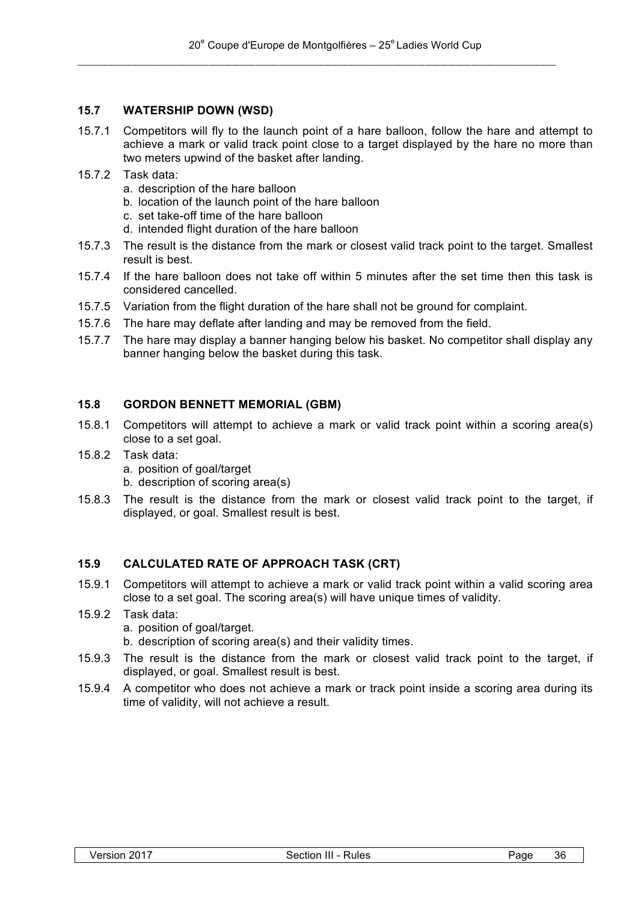# **15.7 WATERSHIP DOWN (WSD)**

- 15.7.1 Competitors will fly to the launch point of a hare balloon, follow the hare and attempt to achieve a mark or valid track point close to a target displayed by the hare no more than two meters upwind of the basket after landing.
- 15.7.2 Task data:
	- a. description of the hare balloon
	- b. location of the launch point of the hare balloon
	- c. set take-off time of the hare balloon
	- d. intended flight duration of the hare balloon
- 15.7.3 The result is the distance from the mark or closest valid track point to the target. Smallest result is best.
- 15.7.4 If the hare balloon does not take off within 5 minutes after the set time then this task is considered cancelled.
- 15.7.5 Variation from the flight duration of the hare shall not be ground for complaint.
- 15.7.6 The hare may deflate after landing and may be removed from the field.
- 15.7.7 The hare may display a banner hanging below his basket. No competitor shall display any banner hanging below the basket during this task.

# **15.8 GORDON BENNETT MEMORIAL (GBM)**

- 15.8.1 Competitors will attempt to achieve a mark or valid track point within a scoring area(s) close to a set goal.
- 15.8.2 Task data:
	- a. position of goal/target
	- b. description of scoring area(s)
- 15.8.3 The result is the distance from the mark or closest valid track point to the target, if displayed, or goal. Smallest result is best.

#### **15.9 CALCULATED RATE OF APPROACH TASK (CRT)**

- 15.9.1 Competitors will attempt to achieve a mark or valid track point within a valid scoring area close to a set goal. The scoring area(s) will have unique times of validity.
- 15.9.2 Task data: a. position of goal/target.
	- b. description of scoring area(s) and their validity times.
- 15.9.3 The result is the distance from the mark or closest valid track point to the target, if displayed, or goal. Smallest result is best.
- 15.9.4 A competitor who does not achieve a mark or track point inside a scoring area during its time of validity, will not achieve a result.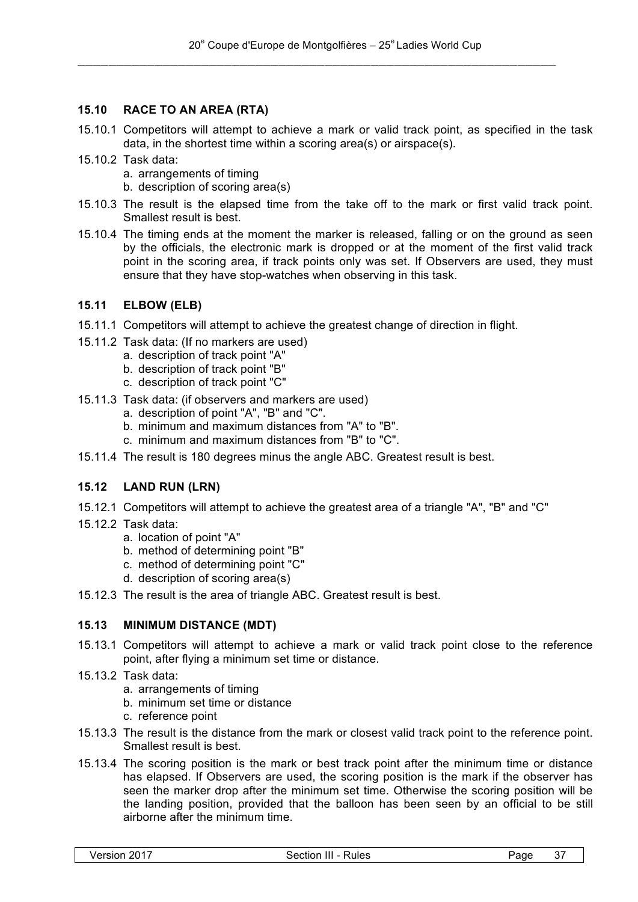# **15.10 RACE TO AN AREA (RTA)**

- 15.10.1 Competitors will attempt to achieve a mark or valid track point, as specified in the task data, in the shortest time within a scoring area(s) or airspace(s).
- 15.10.2 Task data:
	- a. arrangements of timing
	- b. description of scoring area(s)
- 15.10.3 The result is the elapsed time from the take off to the mark or first valid track point. Smallest result is best.
- 15.10.4 The timing ends at the moment the marker is released, falling or on the ground as seen by the officials, the electronic mark is dropped or at the moment of the first valid track point in the scoring area, if track points only was set. If Observers are used, they must ensure that they have stop-watches when observing in this task.

# **15.11 ELBOW (ELB)**

- 15.11.1 Competitors will attempt to achieve the greatest change of direction in flight.
- 15.11.2 Task data: (If no markers are used)
	- a. description of track point "A"
	- b. description of track point "B"
	- c. description of track point "C"
- 15.11.3 Task data: (if observers and markers are used)
	- a. description of point "A", "B" and "C".
	- b. minimum and maximum distances from "A" to "B".
	- c. minimum and maximum distances from "B" to "C".
- 15.11.4 The result is 180 degrees minus the angle ABC. Greatest result is best.

# **15.12 LAND RUN (LRN)**

- 15.12.1 Competitors will attempt to achieve the greatest area of a triangle "A", "B" and "C"
- 15.12.2 Task data:
	- a. location of point "A"
	- b. method of determining point "B"
	- c. method of determining point "C"
	- d. description of scoring area(s)
- 15.12.3 The result is the area of triangle ABC. Greatest result is best.

# **15.13 MINIMUM DISTANCE (MDT)**

- 15.13.1 Competitors will attempt to achieve a mark or valid track point close to the reference point, after flying a minimum set time or distance.
- 15.13.2 Task data:
	- a. arrangements of timing
	- b. minimum set time or distance
	- c. reference point
- 15.13.3 The result is the distance from the mark or closest valid track point to the reference point. Smallest result is best.
- 15.13.4 The scoring position is the mark or best track point after the minimum time or distance has elapsed. If Observers are used, the scoring position is the mark if the observer has seen the marker drop after the minimum set time. Otherwise the scoring position will be the landing position, provided that the balloon has been seen by an official to be still airborne after the minimum time.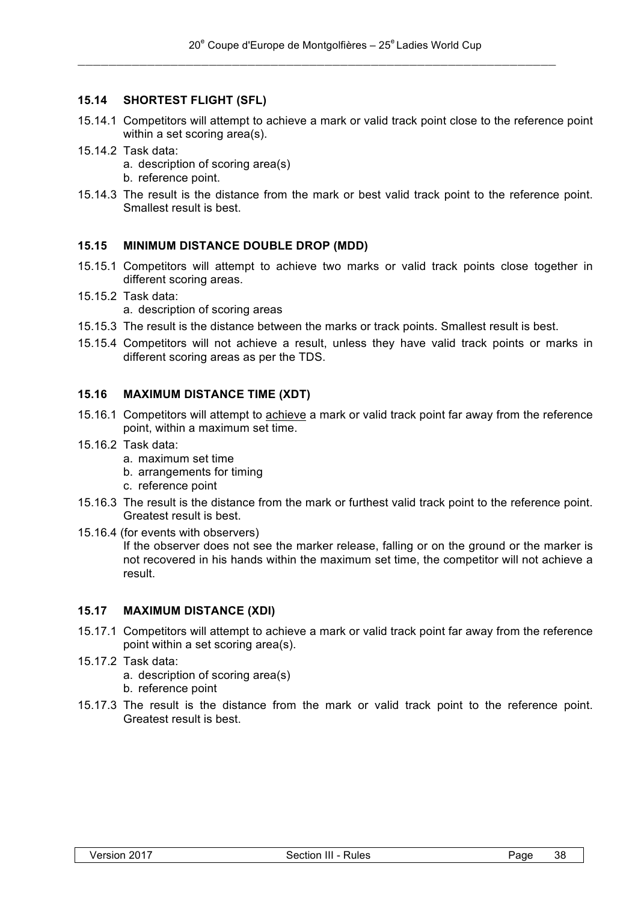# **15.14 SHORTEST FLIGHT (SFL)**

- 15.14.1 Competitors will attempt to achieve a mark or valid track point close to the reference point within a set scoring area(s).
- 15.14.2 Task data:
	- a. description of scoring area(s)
	- b. reference point.
- 15.14.3 The result is the distance from the mark or best valid track point to the reference point. Smallest result is best.

#### **15.15 MINIMUM DISTANCE DOUBLE DROP (MDD)**

- 15.15.1 Competitors will attempt to achieve two marks or valid track points close together in different scoring areas.
- 15.15.2 Task data:

a. description of scoring areas

- 15.15.3 The result is the distance between the marks or track points. Smallest result is best.
- 15.15.4 Competitors will not achieve a result, unless they have valid track points or marks in different scoring areas as per the TDS.

#### **15.16 MAXIMUM DISTANCE TIME (XDT)**

- 15.16.1 Competitors will attempt to achieve a mark or valid track point far away from the reference point, within a maximum set time.
- 15.16.2 Task data:
	- a. maximum set time
	- b. arrangements for timing
	- c. reference point
- 15.16.3 The result is the distance from the mark or furthest valid track point to the reference point. Greatest result is best.
- 15.16.4 (for events with observers)

If the observer does not see the marker release, falling or on the ground or the marker is not recovered in his hands within the maximum set time, the competitor will not achieve a result.

#### **15.17 MAXIMUM DISTANCE (XDI)**

- 15.17.1 Competitors will attempt to achieve a mark or valid track point far away from the reference point within a set scoring area(s).
- 15.17.2 Task data:
	- a. description of scoring area(s)
	- b. reference point
- 15.17.3 The result is the distance from the mark or valid track point to the reference point. Greatest result is best.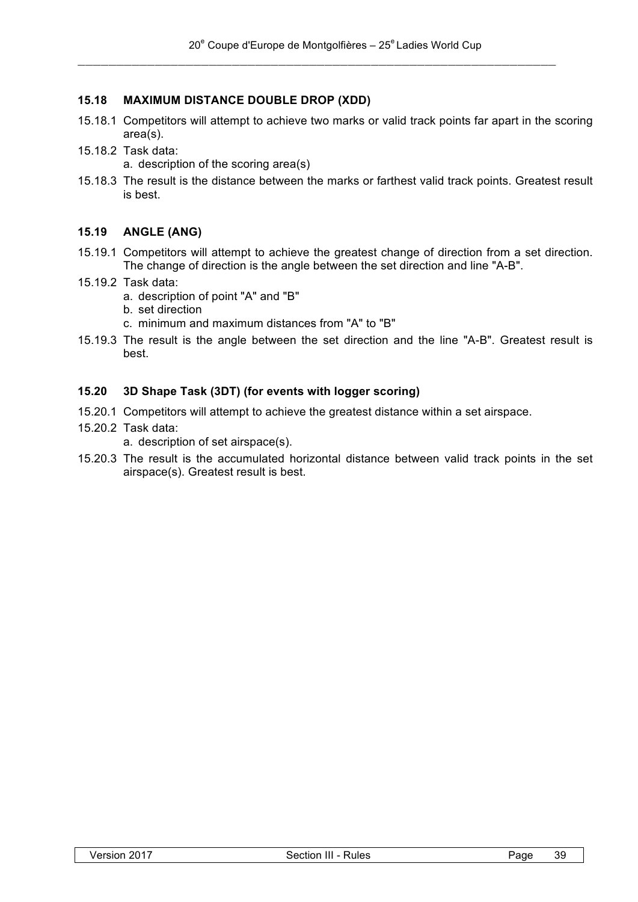# **15.18 MAXIMUM DISTANCE DOUBLE DROP (XDD)**

- 15.18.1 Competitors will attempt to achieve two marks or valid track points far apart in the scoring area(s).
- 15.18.2 Task data:
	- a. description of the scoring area(s)
- 15.18.3 The result is the distance between the marks or farthest valid track points. Greatest result is best.

# **15.19 ANGLE (ANG)**

- 15.19.1 Competitors will attempt to achieve the greatest change of direction from a set direction. The change of direction is the angle between the set direction and line "A-B".
- 15.19.2 Task data:
	- a. description of point "A" and "B"
	- b. set direction
	- c. minimum and maximum distances from "A" to "B"
- 15.19.3 The result is the angle between the set direction and the line "A-B". Greatest result is best.

#### **15.20 3D Shape Task (3DT) (for events with logger scoring)**

- 15.20.1 Competitors will attempt to achieve the greatest distance within a set airspace.
- 15.20.2 Task data:
	- a. description of set airspace(s).
- 15.20.3 The result is the accumulated horizontal distance between valid track points in the set airspace(s). Greatest result is best.